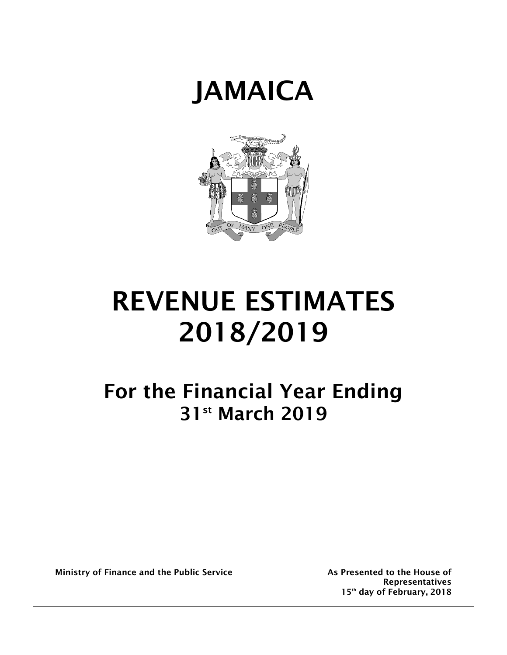



# **REVENUE ESTIMATES 2018/2019**

## **For the Financial Year Ending 31st March 2019**

**Ministry of Finance and the Public Service As Presented to the House of** 

**Representatives 15th day of February, 2018**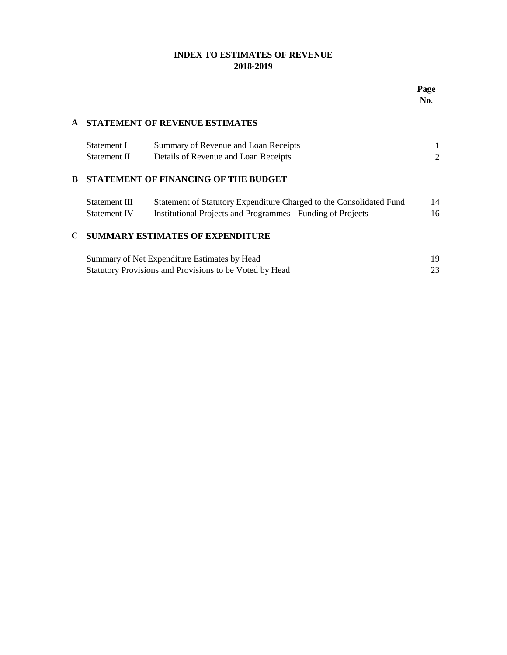## **INDEX TO ESTIMATES OF REVENUE 2018-2019**

## **A STATEMENT OF REVENUE ESTIMATES** Statement I Summary of Revenue and Loan Receipts 1 Statement II Details of Revenue and Loan Receipts 2 **B STATEMENT OF FINANCING OF THE BUDGET** Statement III Statement of Statutory Expenditure Charged to the Consolidated Fund 14 Statement IV Institutional Projects and Programmes - Funding of Projects 16 **C SUMMARY ESTIMATES OF EXPENDITURE**  19 Statutory Provisions and Provisions to be Voted by Head 23 Summary of Net Expenditure Estimates by Head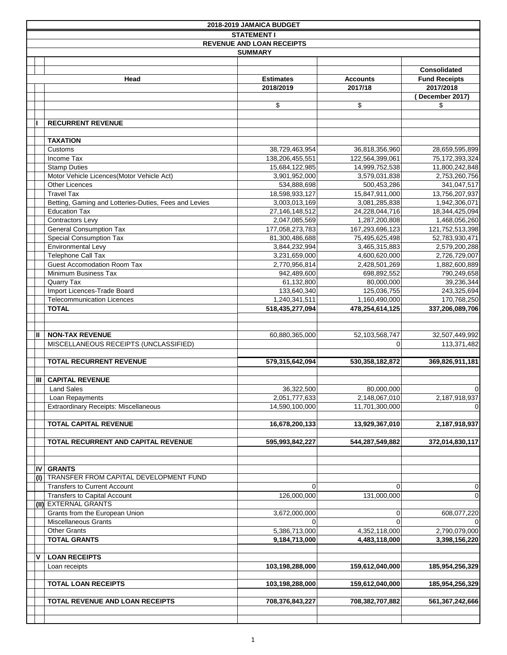|     |                                                       | 2018-2019 JAMAICA BUDGET          |                                   |                                     |
|-----|-------------------------------------------------------|-----------------------------------|-----------------------------------|-------------------------------------|
|     |                                                       | <b>STATEMENT I</b>                |                                   |                                     |
|     |                                                       | <b>REVENUE AND LOAN RECEIPTS</b>  |                                   |                                     |
|     |                                                       | <b>SUMMARY</b>                    |                                   |                                     |
|     |                                                       |                                   |                                   |                                     |
|     |                                                       |                                   |                                   | <b>Consolidated</b>                 |
|     | Head                                                  | <b>Estimates</b>                  | <b>Accounts</b>                   | <b>Fund Receipts</b>                |
|     |                                                       | 2018/2019                         | 2017/18                           | 2017/2018                           |
|     |                                                       |                                   |                                   | December 2017)                      |
|     |                                                       | \$                                | \$                                | \$                                  |
|     |                                                       |                                   |                                   |                                     |
|     | <b>RECURRENT REVENUE</b>                              |                                   |                                   |                                     |
|     |                                                       |                                   |                                   |                                     |
|     | <b>TAXATION</b>                                       |                                   |                                   |                                     |
|     | Customs<br>Income Tax                                 | 38,729,463,954<br>138,206,455,551 | 36,818,356,960<br>122,564,399,061 | 28,659,595,899<br>75, 172, 393, 324 |
|     | <b>Stamp Duties</b>                                   | 15,684,122,985                    | 14,999,752,538                    | 11,800,242,848                      |
|     | Motor Vehicle Licences(Motor Vehicle Act)             | 3,901,952,000                     | 3,579,031,838                     | 2,753,260,756                       |
|     | <b>Other Licences</b>                                 | 534,888,698                       | 500,453,286                       | 341,047,517                         |
|     | <b>Travel Tax</b>                                     | 18,598,933,127                    | 15,847,911,000                    | 13,756,207,937                      |
|     | Betting, Gaming and Lotteries-Duties, Fees and Levies | 3,003,013,169                     | 3,081,285,838                     | 1,942,306,071                       |
|     | <b>Education Tax</b>                                  | 27, 146, 148, 512                 | 24,228,044,716                    | 18,344,425,094                      |
|     | <b>Contractors Levy</b>                               | 2.047.085.569                     | 1,287,200,808                     | 1,468,056,260                       |
|     | <b>General Consumption Tax</b>                        | 177,058,273,783                   | 167,293,696,123                   | 121,752,513,398                     |
|     | <b>Special Consumption Tax</b>                        | 81,300,486,688                    | 75,495,625,498                    | 52,783,930,471                      |
|     | Environmental Levy                                    | 3,844,232,994                     | 3,465,315,883                     | 2,579,200,288                       |
|     | Telephone Call Tax                                    | 3,231,659,000                     | 4,600,620,000                     | 2,726,729,007                       |
|     | <b>Guest Accomodation Room Tax</b>                    | 2,770,956,814                     | 2,428,501,269                     | 1,882,600,889                       |
|     | Minimum Business Tax                                  | 942,489,600                       | 698,892,552                       | 790,249,658                         |
|     | Quarry Tax                                            | 61,132,800                        | 80,000,000                        | 39,236,344                          |
|     | Import Licences-Trade Board                           | 133,640,340                       | 125,036,755                       | 243,325,694                         |
|     | <b>Telecommunication Licences</b>                     | 1,240,341,511                     | 1,160,490,000                     | 170,768,250                         |
|     | <b>TOTAL</b>                                          | 518,435,277,094                   | 478,254,614,125                   | 337,206,089,706                     |
|     |                                                       |                                   |                                   |                                     |
|     |                                                       |                                   |                                   |                                     |
| Ш   | <b>NON-TAX REVENUE</b>                                | 60,880,365,000                    | 52,103,568,747                    | 32,507,449,992                      |
|     | MISCELLANEOUS RECEIPTS (UNCLASSIFIED)                 |                                   | 0                                 | 113,371,482                         |
|     | <b>TOTAL RECURRENT REVENUE</b>                        | 579,315,642,094                   | 530,358,182,872                   | 369,826,911,181                     |
|     |                                                       |                                   |                                   |                                     |
| Ш   | <b>CAPITAL REVENUE</b>                                |                                   |                                   |                                     |
|     | <b>Land Sales</b>                                     | 36,322,500                        | 80,000,000                        | $\Omega$                            |
|     | Loan Repayments                                       | 2,051,777,633                     | 2,148,067,010                     | 2,187,918,937                       |
|     | Extraordinary Receipts: Miscellaneous                 | 14,590,100,000                    | 11,701,300,000                    | $\overline{0}$                      |
|     |                                                       |                                   |                                   |                                     |
|     | <b>TOTAL CAPITAL REVENUE</b>                          | 16,678,200,133                    | 13,929,367,010                    | 2,187,918,937                       |
|     |                                                       |                                   |                                   |                                     |
|     | TOTAL RECURRENT AND CAPITAL REVENUE                   | 595,993,842,227                   | 544,287,549,882                   | 372,014,830,117                     |
|     |                                                       |                                   |                                   |                                     |
|     |                                                       |                                   |                                   |                                     |
| IV  | <b>GRANTS</b>                                         |                                   |                                   |                                     |
| (I) | TRANSFER FROM CAPITAL DEVELOPMENT FUND                |                                   |                                   |                                     |
|     | <b>Transfers to Current Account</b>                   | 0                                 |                                   | $\overline{0}$                      |
|     | <b>Transfers to Capital Account</b>                   | 126,000,000                       | 131,000,000                       | 0                                   |
|     | (II) EXTERNAL GRANTS                                  |                                   |                                   |                                     |
|     | Grants from the European Union                        | 3,672,000,000                     | $\Omega$                          | 608,077,220                         |
|     | <b>Miscellaneous Grants</b>                           | 0                                 | $\Omega$                          | $\Omega$                            |
|     | <b>Other Grants</b>                                   | 5,386,713,000                     | 4,352,118,000                     | 2,790,079,000                       |
|     | <b>TOTAL GRANTS</b>                                   | 9,184,713,000                     | 4,483,118,000                     | 3,398,156,220                       |
| v   | <b>LOAN RECEIPTS</b>                                  |                                   |                                   |                                     |
|     | Loan receipts                                         | 103,198,288,000                   | 159,612,040,000                   | 185,954,256,329                     |
|     |                                                       |                                   |                                   |                                     |
|     | <b>TOTAL LOAN RECEIPTS</b>                            | 103,198,288,000                   | 159,612,040,000                   | 185,954,256,329                     |
|     |                                                       |                                   |                                   |                                     |
|     | TOTAL REVENUE AND LOAN RECEIPTS                       | 708,376,843,227                   | 708,382,707,882                   | 561,367,242,666                     |
|     |                                                       |                                   |                                   |                                     |
|     |                                                       |                                   |                                   |                                     |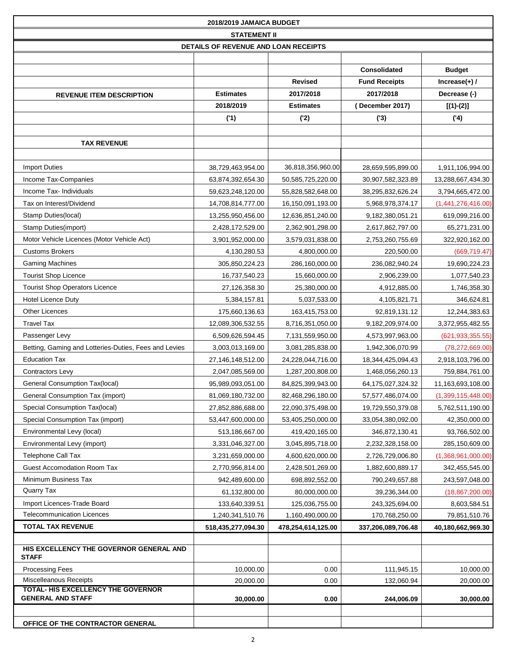|                                                                       | 2018/2019 JAMAICA BUDGET             |                    |                      |                    |
|-----------------------------------------------------------------------|--------------------------------------|--------------------|----------------------|--------------------|
|                                                                       | <b>STATEMENT II</b>                  |                    |                      |                    |
|                                                                       | DETAILS OF REVENUE AND LOAN RECEIPTS |                    |                      |                    |
|                                                                       |                                      |                    |                      |                    |
|                                                                       |                                      |                    | Consolidated         | <b>Budget</b>      |
|                                                                       |                                      | <b>Revised</b>     | <b>Fund Receipts</b> | Increase $(+)$ /   |
| <b>REVENUE ITEM DESCRIPTION</b>                                       | <b>Estimates</b>                     | 2017/2018          | 2017/2018            | Decrease (-)       |
|                                                                       | 2018/2019                            | <b>Estimates</b>   | (December 2017)      | $[(1)-(2)]$        |
|                                                                       | (1)                                  | (2)                | (3)                  | (4)                |
|                                                                       |                                      |                    |                      |                    |
| <b>TAX REVENUE</b>                                                    |                                      |                    |                      |                    |
|                                                                       |                                      |                    |                      |                    |
| <b>Import Duties</b>                                                  | 38,729,463,954.00                    | 36,818,356,960.00  | 28,659,595,899.00    | 1,911,106,994.00   |
| Income Tax-Companies                                                  | 63,874,392,654.30                    | 50,585,725,220.00  | 30,907,582,323.89    | 13,288,667,434.30  |
| Income Tax-Individuals                                                | 59,623,248,120.00                    | 55,828,582,648.00  | 38,295,832,626.24    | 3,794,665,472.00   |
| Tax on Interest/Dividend                                              | 14,708,814,777.00                    | 16,150,091,193.00  | 5,968,978,374.17     | (1,441,276,416.00) |
| Stamp Duties(local)                                                   | 13,255,950,456.00                    | 12,636,851,240.00  | 9,182,380,051.21     | 619,099,216.00     |
| Stamp Duties(import)                                                  | 2,428,172,529.00                     | 2,362,901,298.00   | 2,617,862,797.00     | 65,271,231.00      |
| Motor Vehicle Licences (Motor Vehicle Act)                            | 3,901,952,000.00                     | 3,579,031,838.00   | 2,753,260,755.69     | 322,920,162.00     |
| <b>Customs Brokers</b>                                                | 4,130,280.53                         | 4,800,000.00       | 220,500.00           | (669, 719.47)      |
| <b>Gaming Machines</b>                                                | 305,850,224.23                       | 286,160,000.00     | 236,082,940.24       | 19,690,224.23      |
| <b>Tourist Shop Licence</b>                                           | 16,737,540.23                        | 15,660,000.00      | 2,906,239.00         | 1,077,540.23       |
| <b>Tourist Shop Operators Licence</b>                                 | 27,126,358.30                        | 25,380,000.00      | 4,912,885.00         | 1,746,358.30       |
| <b>Hotel Licence Duty</b>                                             | 5,384,157.81                         | 5,037,533.00       | 4,105,821.71         | 346,624.81         |
| <b>Other Licences</b>                                                 | 175,660,136.63                       | 163,415,753.00     | 92,819,131.12        | 12,244,383.63      |
| <b>Travel Tax</b>                                                     | 12,089,306,532.55                    | 8,716,351,050.00   | 9,182,209,974.00     | 3,372,955,482.55   |
| Passenger Levy                                                        | 6,509,626,594.45                     | 7,131,559,950.00   | 4,573,997,963.00     | (621, 933, 355.55) |
| Betting, Gaming and Lotteries-Duties, Fees and Levies                 | 3,003,013,169.00                     | 3,081,285,838.00   | 1,942,306,070.99     | (78, 272, 669.00)  |
| <b>Education Tax</b>                                                  | 27,146,148,512.00                    | 24,228,044,716.00  | 18,344,425,094.43    | 2,918,103,796.00   |
| Contractors Levy                                                      | 2,047,085,569.00                     | 1,287,200,808.00   | 1,468,056,260.13     | 759,884,761.00     |
| General Consumption Tax(local)                                        | 95,989,093,051.00                    | 84,825,399,943.00  | 64,175,027,324.32    | 11,163,693,108.00  |
| General Consumption Tax (import)                                      | 81,069,180,732.00                    | 82,468,296,180.00  | 57,577,486,074.00    | (1,399,115,448.00) |
| Special Consumption Tax(local)                                        | 27,852,886,688.00                    | 22,090,375,498.00  | 19,729,550,379.08    | 5,762,511,190.00   |
| Special Consumption Tax (import)                                      | 53,447,600,000.00                    | 53,405,250,000.00  | 33,054,380,092.00    | 42,350,000.00      |
| Environmental Levy (local)                                            | 513,186,667.00                       | 419,420,165.00     | 346,872,130.41       | 93,766,502.00      |
| Environmental Levy (import)                                           | 3,331,046,327.00                     | 3,045,895,718.00   | 2,232,328,158.00     | 285,150,609.00     |
| <b>Telephone Call Tax</b>                                             | 3,231,659,000.00                     | 4,600,620,000.00   | 2,726,729,006.80     | (1,368,961,000.00) |
| <b>Guest Accomodation Room Tax</b>                                    | 2,770,956,814.00                     | 2,428,501,269.00   | 1,882,600,889.17     | 342,455,545.00     |
| Minimum Business Tax                                                  | 942,489,600.00                       | 698,892,552.00     | 790,249,657.88       | 243,597,048.00     |
| Quarry Tax                                                            | 61,132,800.00                        | 80,000,000.00      | 39,236,344.00        | (18, 867, 200.00)  |
| Import Licences-Trade Board                                           | 133,640,339.51                       | 125,036,755.00     | 243,325,694.00       | 8,603,584.51       |
| <b>Telecommunication Licences</b>                                     | 1,240,341,510.76                     | 1,160,490,000.00   | 170,768,250.00       | 79,851,510.76      |
| <b>TOTAL TAX REVENUE</b>                                              | 518,435,277,094.30                   | 478,254,614,125.00 | 337,206,089,706.48   | 40,180,662,969.30  |
| HIS EXCELLENCY THE GOVERNOR GENERAL AND<br><b>STAFF</b>               |                                      |                    |                      |                    |
| <b>Processing Fees</b>                                                | 10,000.00                            | 0.00               | 111,945.15           | 10,000.00          |
| <b>Miscelleanous Receipts</b>                                         | 20,000.00                            | 0.00               | 132,060.94           | 20,000.00          |
| <b>TOTAL- HIS EXCELLENCY THE GOVERNOR</b><br><b>GENERAL AND STAFF</b> | 30,000.00                            | 0.00               | 244,006.09           | 30,000.00          |
|                                                                       |                                      |                    |                      |                    |
| OFFICE OF THE CONTRACTOR GENERAL                                      |                                      |                    |                      |                    |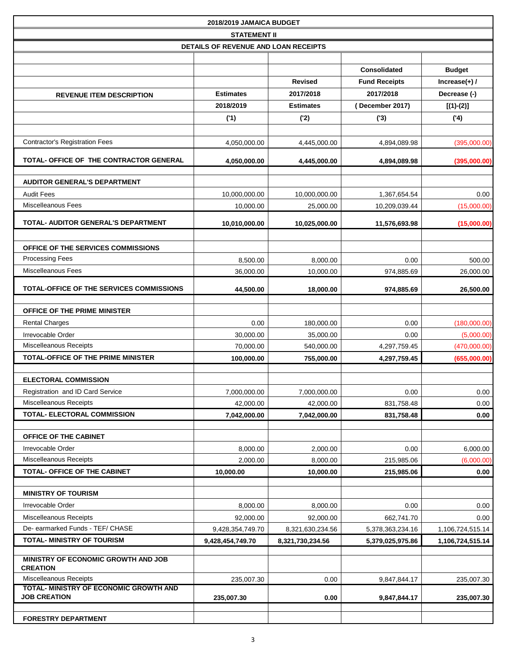|                                                               | 2018/2019 JAMAICA BUDGET             |                  |                      |                  |
|---------------------------------------------------------------|--------------------------------------|------------------|----------------------|------------------|
|                                                               | <b>STATEMENT II</b>                  |                  |                      |                  |
|                                                               | DETAILS OF REVENUE AND LOAN RECEIPTS |                  |                      |                  |
|                                                               |                                      |                  |                      |                  |
|                                                               |                                      |                  | <b>Consolidated</b>  | <b>Budget</b>    |
|                                                               |                                      | <b>Revised</b>   | <b>Fund Receipts</b> | Increase $(+)$ / |
| <b>REVENUE ITEM DESCRIPTION</b>                               | <b>Estimates</b>                     | 2017/2018        | 2017/2018            | Decrease (-)     |
|                                                               | 2018/2019                            | <b>Estimates</b> | (December 2017)      | $[(1)-(2)]$      |
|                                                               | (1)                                  | (2)              | (3)                  | (4)              |
|                                                               |                                      |                  |                      |                  |
| <b>Contractor's Registration Fees</b>                         | 4,050,000.00                         | 4,445,000.00     | 4,894,089.98         | (395,000.00)     |
| TOTAL- OFFICE OF THE CONTRACTOR GENERAL                       | 4,050,000.00                         | 4,445,000.00     | 4,894,089.98         | (395,000.00)     |
| <b>AUDITOR GENERAL'S DEPARTMENT</b>                           |                                      |                  |                      |                  |
| <b>Audit Fees</b>                                             | 10,000,000.00                        | 10,000,000.00    | 1,367,654.54         | 0.00             |
| <b>Miscelleanous Fees</b>                                     | 10,000.00                            | 25,000.00        | 10,209,039.44        | (15,000.00)      |
|                                                               |                                      |                  |                      |                  |
| <b>TOTAL- AUDITOR GENERAL'S DEPARTMENT</b>                    | 10,010,000.00                        | 10,025,000.00    | 11,576,693.98        | (15,000.00)      |
|                                                               |                                      |                  |                      |                  |
| OFFICE OF THE SERVICES COMMISSIONS<br><b>Processing Fees</b>  |                                      |                  |                      |                  |
| Miscelleanous Fees                                            | 8,500.00                             | 8,000.00         | 0.00                 | 500.00           |
|                                                               | 36,000.00                            | 10,000.00        | 974,885.69           | 26,000.00        |
| TOTAL-OFFICE OF THE SERVICES COMMISSIONS                      | 44,500.00                            | 18,000.00        | 974,885.69           | 26,500.00        |
| OFFICE OF THE PRIME MINISTER                                  |                                      |                  |                      |                  |
| <b>Rental Charges</b>                                         | 0.00                                 | 180,000.00       | 0.00                 | (180,000.00)     |
| Irrevocable Order                                             | 30,000.00                            | 35,000.00        | 0.00                 | (5,000.00)       |
| Miscelleanous Receipts                                        | 70,000.00                            | 540,000.00       | 4,297,759.45         | (470,000.00)     |
| TOTAL-OFFICE OF THE PRIME MINISTER                            | 100,000.00                           | 755,000.00       | 4,297,759.45         | (655,000.00)     |
| <b>ELECTORAL COMMISSION</b>                                   |                                      |                  |                      |                  |
| Registration and ID Card Service                              | 7,000,000.00                         | 7,000,000.00     | 0.00                 | 0.00             |
| Miscelleanous Receipts                                        | 42,000.00                            | 42,000.00        | 831,758.48           | 0.00             |
| <b>TOTAL- ELECTORAL COMMISSION</b>                            | 7,042,000.00                         | 7,042,000.00     | 831,758.48           | 0.00             |
|                                                               |                                      |                  |                      |                  |
| OFFICE OF THE CABINET                                         |                                      |                  |                      |                  |
| Irrevocable Order                                             | 8,000.00                             | 2,000.00         | 0.00                 | 6,000.00         |
| <b>Miscelleanous Receipts</b>                                 | 2,000.00                             | 8,000.00         | 215,985.06           | (6,000.00)       |
| TOTAL- OFFICE OF THE CABINET                                  | 10,000.00                            | 10,000.00        | 215,985.06           | 0.00             |
| <b>MINISTRY OF TOURISM</b>                                    |                                      |                  |                      |                  |
| Irrevocable Order                                             | 8,000.00                             | 8,000.00         | 0.00                 | 0.00             |
| Miscelleanous Receipts                                        | 92,000.00                            | 92,000.00        | 662,741.70           | 0.00             |
| De- earmarked Funds - TEF/ CHASE                              | 9,428,354,749.70                     | 8,321,630,234.56 | 5,378,363,234.16     | 1,106,724,515.14 |
| <b>TOTAL- MINISTRY OF TOURISM</b>                             | 9,428,454,749.70                     | 8,321,730,234.56 | 5,379,025,975.86     | 1,106,724,515.14 |
| MINISTRY OF ECONOMIC GROWTH AND JOB<br><b>CREATION</b>        |                                      |                  |                      |                  |
| Miscelleanous Receipts                                        | 235,007.30                           | 0.00             | 9,847,844.17         | 235,007.30       |
| TOTAL- MINISTRY OF ECONOMIC GROWTH AND<br><b>JOB CREATION</b> | 235,007.30                           | 0.00             | 9,847,844.17         | 235,007.30       |
|                                                               |                                      |                  |                      |                  |
| <b>FORESTRY DEPARTMENT</b>                                    |                                      |                  |                      |                  |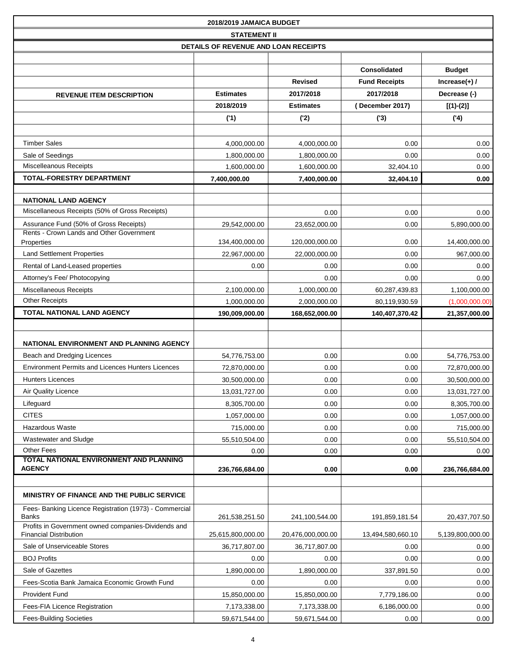|                                                                                      | 2018/2019 JAMAICA BUDGET             |                   |                      |                  |
|--------------------------------------------------------------------------------------|--------------------------------------|-------------------|----------------------|------------------|
|                                                                                      | <b>STATEMENT II</b>                  |                   |                      |                  |
|                                                                                      | DETAILS OF REVENUE AND LOAN RECEIPTS |                   |                      |                  |
|                                                                                      |                                      |                   |                      |                  |
|                                                                                      |                                      |                   | <b>Consolidated</b>  | <b>Budget</b>    |
|                                                                                      |                                      | <b>Revised</b>    | <b>Fund Receipts</b> | Increase $(+)$ / |
| <b>REVENUE ITEM DESCRIPTION</b>                                                      | <b>Estimates</b>                     | 2017/2018         | 2017/2018            | Decrease (-)     |
|                                                                                      | 2018/2019                            | <b>Estimates</b>  | (December 2017)      | $[(1)-(2)]$      |
|                                                                                      | (1)                                  | (2)               | (3)                  | (4)              |
|                                                                                      |                                      |                   |                      |                  |
| <b>Timber Sales</b>                                                                  | 4,000,000.00                         | 4,000,000.00      | 0.00                 | 0.00             |
| Sale of Seedings                                                                     | 1,800,000.00                         | 1,800,000.00      | 0.00                 | 0.00             |
| Miscelleanous Receipts                                                               | 1,600,000.00                         | 1,600,000.00      | 32,404.10            | 0.00             |
| TOTAL-FORESTRY DEPARTMENT                                                            | 7,400,000.00                         | 7,400,000.00      | 32,404.10            | 0.00             |
|                                                                                      |                                      |                   |                      |                  |
| <b>NATIONAL LAND AGENCY</b><br>Miscellaneous Receipts (50% of Gross Receipts)        |                                      |                   |                      |                  |
|                                                                                      |                                      | 0.00              | 0.00                 | 0.00             |
| Assurance Fund (50% of Gross Receipts)<br>Rents - Crown Lands and Other Government   | 29,542,000.00                        | 23,652,000.00     | 0.00                 | 5,890,000.00     |
| Properties                                                                           | 134,400,000.00                       | 120,000,000.00    | 0.00                 | 14,400,000.00    |
| <b>Land Settlement Properties</b>                                                    | 22,967,000.00                        | 22,000,000.00     | 0.00                 | 967,000.00       |
| Rental of Land-Leased properties                                                     | 0.00                                 | 0.00              | 0.00                 | 0.00             |
| Attorney's Fee/ Photocopying                                                         |                                      | 0.00              | 0.00                 | 0.00             |
| Miscellaneous Receipts                                                               | 2,100,000.00                         | 1,000,000.00      | 60,287,439.83        | 1,100,000.00     |
| <b>Other Receipts</b>                                                                | 1,000,000.00                         | 2,000,000.00      | 80,119,930.59        | (1,000,000.00)   |
| <b>TOTAL NATIONAL LAND AGENCY</b>                                                    | 190,009,000.00                       | 168,652,000.00    | 140,407,370.42       | 21,357,000.00    |
|                                                                                      |                                      |                   |                      |                  |
| NATIONAL ENVIRONMENT AND PLANNING AGENCY                                             |                                      |                   |                      |                  |
| Beach and Dredging Licences                                                          | 54,776,753.00                        | 0.00              | 0.00                 | 54,776,753.00    |
| Environment Permits and Licences Hunters Licences                                    | 72,870,000.00                        | 0.00              | 0.00                 | 72,870,000.00    |
| <b>Hunters Licences</b>                                                              | 30,500,000.00                        | 0.00              | 0.00                 | 30.500.000.00    |
| Air Quality Licence                                                                  | 13,031,727.00                        | 0.00              | 0.00                 | 13,031,727.00    |
| Lifeguard                                                                            | 8,305,700.00                         | 0.00              | 0.00                 | 8,305,700.00     |
| <b>CITES</b>                                                                         | 1,057,000.00                         | 0.00              | 0.00                 | 1,057,000.00     |
| Hazardous Waste                                                                      | 715,000.00                           | 0.00              | 0.00                 | 715,000.00       |
| Wastewater and Sludge                                                                | 55,510,504.00                        | 0.00              | 0.00                 | 55,510,504.00    |
| <b>Other Fees</b>                                                                    | 0.00                                 | 0.00              | 0.00                 | 0.00             |
| TOTAL NATIONAL ENVIRONMENT AND PLANNING<br><b>AGENCY</b>                             | 236,766,684.00                       | 0.00              | 0.00                 | 236,766,684.00   |
|                                                                                      |                                      |                   |                      |                  |
| MINISTRY OF FINANCE AND THE PUBLIC SERVICE                                           |                                      |                   |                      |                  |
| Fees- Banking Licence Registration (1973) - Commercial<br><b>Banks</b>               | 261,538,251.50                       | 241,100,544.00    | 191,859,181.54       | 20,437,707.50    |
| Profits in Government owned companies-Dividends and<br><b>Financial Distribution</b> | 25,615,800,000.00                    | 20,476,000,000.00 | 13,494,580,660.10    | 5,139,800,000.00 |
| Sale of Unserviceable Stores                                                         | 36,717,807.00                        | 36,717,807.00     | 0.00                 | 0.00             |
| <b>BOJ Profits</b>                                                                   | 0.00                                 | 0.00              | 0.00                 | 0.00             |
| Sale of Gazettes                                                                     | 1,890,000.00                         | 1,890,000.00      | 337,891.50           | 0.00             |
| Fees-Scotia Bank Jamaica Economic Growth Fund                                        | 0.00                                 | 0.00              | 0.00                 | 0.00             |
| <b>Provident Fund</b>                                                                | 15,850,000.00                        | 15,850,000.00     | 7,779,186.00         | 0.00             |
| Fees-FIA Licence Registration                                                        | 7,173,338.00                         | 7,173,338.00      | 6,186,000.00         | 0.00             |
| <b>Fees-Building Societies</b>                                                       | 59,671,544.00                        | 59,671,544.00     | 0.00                 | 0.00             |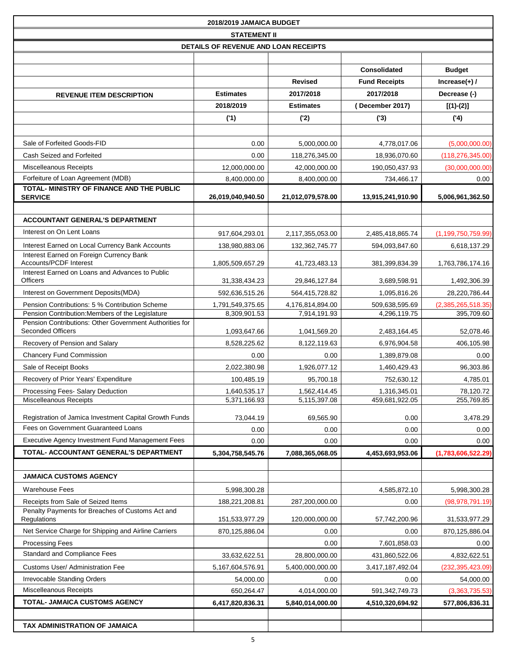| 2018/2019 JAMAICA BUDGET                                                               |                                      |                              |                                |                         |
|----------------------------------------------------------------------------------------|--------------------------------------|------------------------------|--------------------------------|-------------------------|
|                                                                                        | <b>STATEMENT II</b>                  |                              |                                |                         |
|                                                                                        | DETAILS OF REVENUE AND LOAN RECEIPTS |                              |                                |                         |
|                                                                                        |                                      |                              |                                |                         |
|                                                                                        |                                      |                              | <b>Consolidated</b>            | <b>Budget</b>           |
|                                                                                        |                                      | <b>Revised</b>               | <b>Fund Receipts</b>           | $Increase(+)$ /         |
| <b>REVENUE ITEM DESCRIPTION</b>                                                        | <b>Estimates</b>                     | 2017/2018                    | 2017/2018                      | Decrease (-)            |
|                                                                                        | 2018/2019                            | <b>Estimates</b>             | (December 2017)                | $[(1)-(2)]$             |
|                                                                                        | (1)                                  | (2)                          | (3)                            | (4)                     |
|                                                                                        |                                      |                              |                                |                         |
| Sale of Forfeited Goods-FID                                                            | 0.00                                 | 5,000,000.00                 | 4,778,017.06                   | (5,000,000.00)          |
| Cash Seized and Forfeited                                                              | 0.00                                 | 118,276,345.00               | 18,936,070.60                  | (118, 276, 345.00)      |
| <b>Miscelleanous Receipts</b>                                                          | 12,000,000.00                        | 42,000,000.00                | 190,050,437.93                 | (30,000,000.00)         |
| Forfeiture of Loan Agreement (MDB)                                                     | 8,400,000.00                         | 8,400,000.00                 | 734,466.17                     | 0.00                    |
| TOTAL- MINISTRY OF FINANCE AND THE PUBLIC<br><b>SERVICE</b>                            | 26,019,040,940.50                    | 21,012,079,578.00            | 13,915,241,910.90              | 5,006,961,362.50        |
|                                                                                        |                                      |                              |                                |                         |
| <b>ACCOUNTANT GENERAL'S DEPARTMENT</b>                                                 |                                      |                              |                                |                         |
| Interest on On Lent Loans                                                              | 917,604,293.01                       | 2,117,355,053.00             | 2,485,418,865.74               | (1, 199, 750, 759.99)   |
| Interest Earned on Local Currency Bank Accounts                                        | 138,980,883.06                       | 132,362,745.77               | 594,093,847.60                 | 6,618,137.29            |
| Interest Earned on Foreign Currency Bank                                               |                                      |                              |                                |                         |
| Accounts/PCDF Interest                                                                 | 1,805,509,657.29                     | 41,723,483.13                | 381,399,834.39                 | 1,763,786,174.16        |
| Interest Earned on Loans and Advances to Public<br><b>Officers</b>                     | 31,338,434.23                        | 29,846,127.84                | 3,689,598.91                   | 1,492,306.39            |
| Interest on Government Deposits (MDA)                                                  | 592,636,515.26                       | 564,415,728.82               | 1,095,816.26                   | 28,220,786.44           |
| Pension Contributions: 5 % Contribution Scheme                                         | 1,791,549,375.65                     | 4,176,814,894.00             | 509,638,595.69                 | (2,385,265,518.35)      |
| Pension Contribution: Members of the Legislature                                       | 8,309,901.53                         | 7,914,191.93                 | 4,296,119.75                   | 395,709.60              |
| Pension Contributions: Other Government Authorities for<br><b>Seconded Officers</b>    |                                      |                              |                                | 52,078.46               |
| Recovery of Pension and Salary                                                         | 1,093,647.66                         | 1,041,569.20                 | 2,483,164.45                   |                         |
|                                                                                        | 8,528,225.62<br>0.00                 | 8,122,119.63<br>0.00         | 6,976,904.58                   | 406,105.98<br>0.00      |
| <b>Chancery Fund Commission</b><br>Sale of Receipt Books                               |                                      |                              | 1,389,879.08                   |                         |
| Recovery of Prior Years' Expenditure                                                   | 2,022,380.98<br>100,485.19           | 1,926,077.12<br>95,700.18    | 1,460,429.43<br>752,630.12     | 96,303.86<br>4,785.01   |
| Processing Fees- Salary Deduction                                                      |                                      |                              |                                |                         |
| Miscelleanous Receipts                                                                 | 1,640,535.17<br>5,371,166.93         | 1,562,414.45<br>5,115,397.08 | 1,316,345.01<br>459,681,922.05 | 78,120.72<br>255,769.85 |
|                                                                                        |                                      |                              |                                |                         |
| Registration of Jamica Investment Capital Growth Funds                                 | 73,044.19                            | 69,565.90                    | 0.00                           | 3,478.29                |
| Fees on Government Guaranteed Loans                                                    | 0.00                                 | 0.00                         | 0.00                           | 0.00                    |
| Executive Agency Investment Fund Management Fees                                       | 0.00                                 | 0.00                         | 0.00                           | 0.00                    |
| TOTAL- ACCOUNTANT GENERAL'S DEPARTMENT                                                 | 5,304,758,545.76                     | 7,088,365,068.05             | 4,453,693,953.06               | (1,783,606,522.29)      |
| <b>JAMAICA CUSTOMS AGENCY</b>                                                          |                                      |                              |                                |                         |
|                                                                                        |                                      |                              |                                |                         |
| <b>Warehouse Fees</b>                                                                  | 5,998,300.28                         |                              | 4,585,872.10                   | 5,998,300.28            |
| Receipts from Sale of Seized Items<br>Penalty Payments for Breaches of Customs Act and | 188,221,208.81                       | 287,200,000.00               | 0.00                           | (98, 978, 791.19)       |
| Regulations                                                                            | 151,533,977.29                       | 120,000,000.00               | 57,742,200.96                  | 31,533,977.29           |
| Net Service Charge for Shipping and Airline Carriers                                   | 870,125,886.04                       | 0.00                         | 0.00                           | 870,125,886.04          |
| <b>Processing Fees</b>                                                                 |                                      | 0.00                         | 7,601,858.03                   | $0.00\,$                |
| Standard and Compliance Fees                                                           | 33,632,622.51                        | 28,800,000.00                | 431,860,522.06                 | 4,832,622.51            |
| <b>Customs User/ Administration Fee</b>                                                | 5,167,604,576.91                     | 5,400,000,000.00             | 3,417,187,492.04               | (232, 395, 423.09)      |
| Irrevocable Standing Orders                                                            | 54,000.00                            | 0.00                         | 0.00                           | 54,000.00               |
| Miscelleanous Receipts                                                                 | 650,264.47                           | 4,014,000.00                 | 591,342,749.73                 | (3,363,735.53)          |
| TOTAL- JAMAICA CUSTOMS AGENCY                                                          | 6,417,820,836.31                     | 5,840,014,000.00             | 4,510,320,694.92               | 577,806,836.31          |
|                                                                                        |                                      |                              |                                |                         |
| TAX ADMINISTRATION OF JAMAICA                                                          |                                      |                              |                                |                         |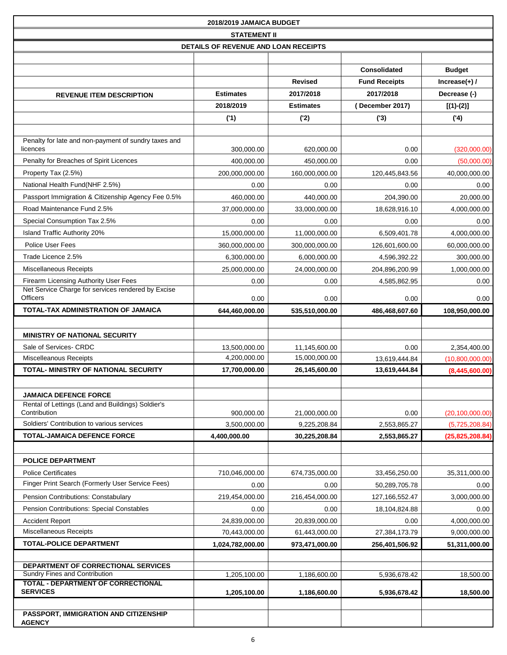|                                                                                         | 2018/2019 JAMAICA BUDGET             |                                |                       |                              |
|-----------------------------------------------------------------------------------------|--------------------------------------|--------------------------------|-----------------------|------------------------------|
|                                                                                         | <b>STATEMENT II</b>                  |                                |                       |                              |
|                                                                                         | DETAILS OF REVENUE AND LOAN RECEIPTS |                                |                       |                              |
|                                                                                         |                                      |                                |                       |                              |
|                                                                                         |                                      |                                | <b>Consolidated</b>   | <b>Budget</b>                |
|                                                                                         |                                      | <b>Revised</b>                 | <b>Fund Receipts</b>  | $Increase(+)$ /              |
| <b>REVENUE ITEM DESCRIPTION</b>                                                         | <b>Estimates</b>                     | 2017/2018                      | 2017/2018             | Decrease (-)                 |
|                                                                                         | 2018/2019                            | <b>Estimates</b>               | (December 2017)       | $[(1)-(2)]$                  |
|                                                                                         | (1)                                  | ('2)                           | (3)                   | (4)                          |
| Penalty for late and non-payment of sundry taxes and                                    |                                      |                                |                       |                              |
| licences                                                                                | 300,000.00                           | 620,000.00                     | 0.00                  | (320,000.00)                 |
| Penalty for Breaches of Spirit Licences                                                 | 400,000.00                           | 450,000.00                     | 0.00                  | (50,000.00)                  |
| Property Tax (2.5%)                                                                     | 200,000,000.00                       | 160,000,000.00                 | 120,445,843.56        | 40,000,000.00                |
| National Health Fund(NHF 2.5%)                                                          | 0.00                                 | 0.00                           | 0.00                  | 0.00                         |
| Passport Immigration & Citizenship Agency Fee 0.5%                                      | 460,000.00                           | 440,000.00                     | 204,390.00            | 20,000.00                    |
| Road Maintenance Fund 2.5%                                                              | 37,000,000.00                        | 33,000,000.00                  | 18,628,916.10         | 4,000,000.00                 |
| Special Consumption Tax 2.5%                                                            | 0.00                                 | 0.00                           | 0.00                  | 0.00                         |
| Island Traffic Authority 20%                                                            | 15,000,000.00                        | 11,000,000.00                  | 6.509.401.78          | 4,000,000.00                 |
| <b>Police User Fees</b>                                                                 | 360,000,000.00                       | 300,000,000.00                 | 126,601,600.00        | 60,000,000.00                |
| Trade Licence 2.5%                                                                      | 6,300,000.00                         | 6,000,000.00                   | 4,596,392.22          | 300,000.00                   |
| <b>Miscellaneous Receipts</b>                                                           | 25,000,000.00                        | 24,000,000.00                  | 204,896,200.99        | 1,000,000.00                 |
| Firearm Licensing Authority User Fees                                                   | 0.00                                 | 0.00                           | 4,585,862.95          | 0.00                         |
| Net Service Charge for services rendered by Excise<br><b>Officers</b>                   | 0.00                                 | 0.00                           | 0.00                  | 0.00                         |
| TOTAL-TAX ADMINISTRATION OF JAMAICA                                                     | 644,460,000.00                       | 535,510,000.00                 | 486,468,607.60        | 108,950,000.00               |
|                                                                                         |                                      |                                |                       |                              |
| <b>MINISTRY OF NATIONAL SECURITY</b>                                                    |                                      |                                |                       |                              |
| Sale of Services- CRDC                                                                  | 13,500,000.00                        | 11,145,600.00                  | 0.00                  | 2,354,400.00                 |
| <b>Miscelleanous Receipts</b>                                                           | 4,200,000.00                         | 15,000,000.00                  | 13,619,444.84         | (10,800,000.00)              |
| <b>TOTAL- MINISTRY OF NATIONAL SECURITY</b>                                             | 17,700,000.00                        | 26,145,600.00                  | 13,619,444.84         | (8,445,600.00)               |
|                                                                                         |                                      |                                |                       |                              |
| <b>JAMAICA DEFENCE FORCE</b>                                                            |                                      |                                |                       |                              |
| Rental of Lettings (Land and Buildings) Soldier's                                       |                                      |                                |                       |                              |
| Contribution                                                                            | 900,000.00                           | 21,000,000.00                  | 0.00                  | (20, 100, 000.00)            |
| Soldiers' Contribution to various services                                              | 3,500,000.00                         | 9,225,208.84                   | 2,553,865.27          | (5,725,208.84)               |
| <b>TOTAL-JAMAICA DEFENCE FORCE</b>                                                      | 4,400,000.00                         | 30,225,208.84                  | 2,553,865.27          | (25, 825, 208.84)            |
|                                                                                         |                                      |                                |                       |                              |
| <b>POLICE DEPARTMENT</b>                                                                |                                      |                                |                       |                              |
| <b>Police Certificates</b><br>Finger Print Search (Formerly User Service Fees)          | 710,046,000.00                       | 674,735,000.00                 | 33,456,250.00         | 35,311,000.00                |
|                                                                                         | 0.00                                 | 0.00                           | 50,289,705.78         | 0.00                         |
| Pension Contributions: Constabulary<br><b>Pension Contributions: Special Constables</b> | 219,454,000.00                       | 216,454,000.00                 | 127, 166, 552. 47     | 3,000,000.00                 |
| <b>Accident Report</b>                                                                  | 0.00                                 | 0.00                           | 18,104,824.88         | 0.00                         |
| Miscellaneous Receipts                                                                  | 24,839,000.00<br>70,443,000.00       | 20,839,000.00<br>61,443,000.00 | 0.00<br>27,384,173.79 | 4,000,000.00<br>9,000,000.00 |
| <b>TOTAL-POLICE DEPARTMENT</b>                                                          | 1,024,782,000.00                     | 973,471,000.00                 | 256,401,506.92        | 51,311,000.00                |
|                                                                                         |                                      |                                |                       |                              |
| DEPARTMENT OF CORRECTIONAL SERVICES                                                     |                                      |                                |                       |                              |
| Sundry Fines and Contribution                                                           | 1,205,100.00                         | 1,186,600.00                   | 5,936,678.42          | 18,500.00                    |
| TOTAL - DEPARTMENT OF CORRECTIONAL<br><b>SERVICES</b>                                   | 1,205,100.00                         | 1,186,600.00                   | 5,936,678.42          | 18,500.00                    |
|                                                                                         |                                      |                                |                       |                              |
| PASSPORT, IMMIGRATION AND CITIZENSHIP                                                   |                                      |                                |                       |                              |
| <b>AGENCY</b>                                                                           |                                      |                                |                       |                              |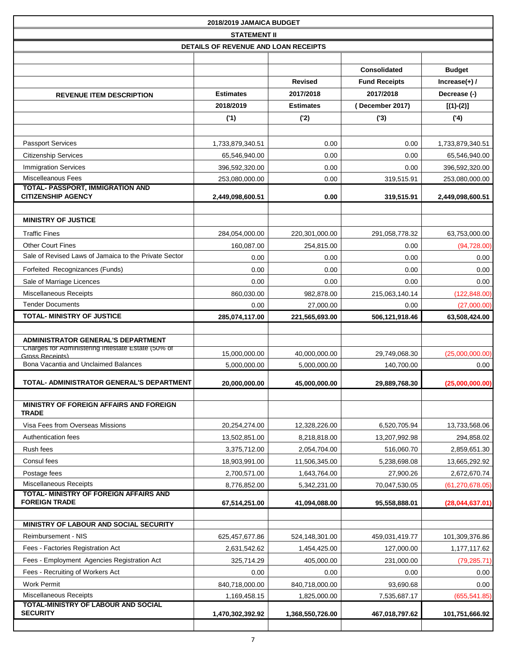| 2018/2019 JAMAICA BUDGET                                              |                                      |                  |                      |                   |
|-----------------------------------------------------------------------|--------------------------------------|------------------|----------------------|-------------------|
|                                                                       | <b>STATEMENT II</b>                  |                  |                      |                   |
|                                                                       | DETAILS OF REVENUE AND LOAN RECEIPTS |                  |                      |                   |
|                                                                       |                                      |                  |                      |                   |
|                                                                       |                                      |                  | <b>Consolidated</b>  | <b>Budget</b>     |
|                                                                       |                                      | <b>Revised</b>   | <b>Fund Receipts</b> | Increase $(+)$ /  |
| <b>REVENUE ITEM DESCRIPTION</b>                                       | <b>Estimates</b>                     | 2017/2018        | 2017/2018            | Decrease (-)      |
|                                                                       | 2018/2019                            | <b>Estimates</b> | (December 2017)      | $[(1)-(2)]$       |
|                                                                       | (1)                                  | ('2)             | (3)                  | (4)               |
|                                                                       |                                      |                  |                      |                   |
| <b>Passport Services</b>                                              | 1,733,879,340.51                     | 0.00             | 0.00                 | 1,733,879,340.51  |
| <b>Citizenship Services</b>                                           | 65,546,940.00                        | 0.00             | 0.00                 | 65,546,940.00     |
| <b>Immigration Services</b>                                           | 396,592,320.00                       | 0.00             | 0.00                 | 396,592,320.00    |
| <b>Miscelleanous Fees</b><br>TOTAL- PASSPORT, IMMIGRATION AND         | 253,080,000.00                       | 0.00             | 319,515.91           | 253,080,000.00    |
| <b>CITIZENSHIP AGENCY</b>                                             | 2,449,098,600.51                     | 0.00             | 319,515.91           | 2,449,098,600.51  |
|                                                                       |                                      |                  |                      |                   |
| <b>MINISTRY OF JUSTICE</b>                                            |                                      |                  |                      |                   |
| <b>Traffic Fines</b>                                                  | 284,054,000.00                       | 220,301,000.00   | 291,058,778.32       | 63,753,000.00     |
| <b>Other Court Fines</b>                                              | 160.087.00                           | 254,815.00       | 0.00                 | (94, 728.00)      |
| Sale of Revised Laws of Jamaica to the Private Sector                 | 0.00                                 | 0.00             | 0.00                 | 0.00              |
| Forfeited Recognizances (Funds)                                       | 0.00                                 | 0.00             | 0.00                 | 0.00              |
| Sale of Marriage Licences                                             | 0.00                                 | 0.00             | 0.00                 | 0.00              |
| <b>Miscellaneous Receipts</b>                                         | 860,030.00                           | 982,878.00       | 215,063,140.14       | (122, 848.00)     |
| <b>Tender Documents</b>                                               | 0.00                                 | 27,000.00        | 0.00                 | (27,000.00)       |
| <b>TOTAL- MINISTRY OF JUSTICE</b>                                     | 285,074,117.00                       | 221,565,693.00   | 506,121,918.46       | 63,508,424.00     |
|                                                                       |                                      |                  |                      |                   |
| ADMINISTRATOR GENERAL'S DEPARTMENT                                    |                                      |                  |                      |                   |
| Charges for Administering Intestate Estate (50% of<br>Gross Receints) | 15,000,000.00                        | 40,000,000.00    | 29,749,068.30        | (25,000,000.00)   |
| Bona Vacantia and Unclaimed Balances                                  | 5,000,000.00                         | 5,000,000.00     | 140,700.00           | 0.00              |
| TOTAL- ADMINISTRATOR GENERAL'S DEPARTMENT                             | 20,000,000.00                        | 45,000,000.00    | 29,889,768.30        | (25,000,000.00)   |
|                                                                       |                                      |                  |                      |                   |
| MINISTRY OF FOREIGN AFFAIRS AND FOREIGN<br><b>TRADE</b>               |                                      |                  |                      |                   |
| Visa Fees from Overseas Missions                                      | 20,254,274.00                        | 12,328,226.00    | 6,520,705.94         | 13,733,568.06     |
| Authentication fees                                                   | 13,502,851.00                        | 8,218,818.00     | 13,207,992.98        | 294,858.02        |
| Rush fees                                                             | 3,375,712.00                         | 2,054,704.00     | 516,060.70           | 2,859,651.30      |
| Consul fees                                                           | 18,903,991.00                        | 11,506,345.00    | 5,238,698.08         | 13,665,292.92     |
| Postage fees                                                          | 2,700,571.00                         | 1,643,764.00     | 27,900.26            | 2,672,670.74      |
| <b>Miscellaneous Receipts</b>                                         | 8,776,852.00                         | 5,342,231.00     | 70,047,530.05        | (61, 270, 678.05) |
| TOTAL- MINISTRY OF FOREIGN AFFAIRS AND                                |                                      |                  |                      |                   |
| <b>FOREIGN TRADE</b>                                                  | 67,514,251.00                        | 41,094,088.00    | 95,558,888.01        | (28,044,637.01)   |
| MINISTRY OF LABOUR AND SOCIAL SECURITY                                |                                      |                  |                      |                   |
|                                                                       |                                      |                  |                      |                   |
| Reimbursement - NIS                                                   | 625,457,677.86                       | 524,148,301.00   | 459,031,419.77       | 101,309,376.86    |
| Fees - Factories Registration Act                                     | 2,631,542.62                         | 1,454,425.00     | 127,000.00           | 1,177,117.62      |
| Fees - Employment Agencies Registration Act                           | 325,714.29                           | 405,000.00       | 231,000.00           | (79, 285.71)      |
| Fees - Recruiting of Workers Act                                      | 0.00                                 | 0.00             | 0.00                 | 0.00              |
| <b>Work Permit</b><br>Miscellaneous Receipts                          | 840,718,000.00                       | 840,718,000.00   | 93,690.68            | 0.00              |
| TOTAL-MINISTRY OF LABOUR AND SOCIAL                                   | 1,169,458.15                         | 1,825,000.00     | 7,535,687.17         | (655, 541.85)     |
| <b>SECURITY</b>                                                       | 1,470,302,392.92                     | 1,368,550,726.00 | 467,018,797.62       | 101,751,666.92    |
|                                                                       |                                      |                  |                      |                   |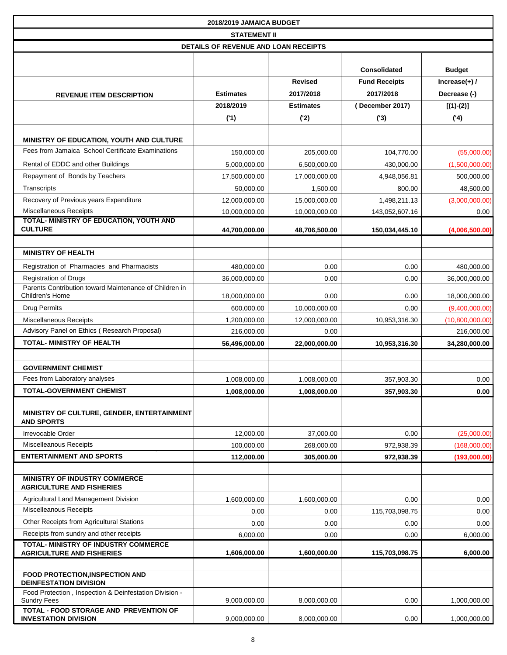|                                                                              | 2018/2019 JAMAICA BUDGET             |                  |                      |                  |
|------------------------------------------------------------------------------|--------------------------------------|------------------|----------------------|------------------|
|                                                                              | <b>STATEMENT II</b>                  |                  |                      |                  |
|                                                                              | DETAILS OF REVENUE AND LOAN RECEIPTS |                  |                      |                  |
|                                                                              |                                      |                  |                      |                  |
|                                                                              |                                      |                  | <b>Consolidated</b>  | <b>Budget</b>    |
|                                                                              |                                      | <b>Revised</b>   | <b>Fund Receipts</b> | Increase $(+)$ / |
| <b>REVENUE ITEM DESCRIPTION</b>                                              | <b>Estimates</b>                     | 2017/2018        | 2017/2018            | Decrease (-)     |
|                                                                              | 2018/2019                            | <b>Estimates</b> | (December 2017)      | $[(1)-(2)]$      |
|                                                                              | (1)                                  | ('2)             | (3)                  | (4)              |
|                                                                              |                                      |                  |                      |                  |
| MINISTRY OF EDUCATION, YOUTH AND CULTURE                                     |                                      |                  |                      |                  |
| Fees from Jamaica School Certificate Examinations                            | 150,000.00                           | 205,000.00       | 104,770.00           | (55,000.00)      |
| Rental of EDDC and other Buildings                                           | 5,000,000.00                         | 6,500,000.00     | 430,000.00           | (1,500,000.00)   |
| Repayment of Bonds by Teachers                                               | 17,500,000.00                        | 17,000,000.00    | 4,948,056.81         | 500,000.00       |
| Transcripts                                                                  | 50,000.00                            | 1,500.00         | 800.00               | 48,500.00        |
| Recovery of Previous years Expenditure                                       | 12,000,000.00                        | 15,000,000.00    | 1,498,211.13         | (3,000,000.00)   |
| <b>Miscellaneous Receipts</b>                                                | 10,000,000.00                        | 10,000,000.00    | 143,052,607.16       | 0.00             |
| TOTAL- MINISTRY OF EDUCATION, YOUTH AND<br><b>CULTURE</b>                    | 44,700,000.00                        | 48,706,500.00    | 150,034,445.10       | (4,006,500.00)   |
|                                                                              |                                      |                  |                      |                  |
| <b>MINISTRY OF HEALTH</b>                                                    |                                      |                  |                      |                  |
| Registration of Pharmacies and Pharmacists                                   | 480,000.00                           | 0.00             | 0.00                 | 480,000.00       |
| <b>Registration of Drugs</b>                                                 | 36,000,000.00                        | 0.00             | 0.00                 | 36,000,000.00    |
| Parents Contribution toward Maintenance of Children in                       |                                      |                  |                      |                  |
| Children's Home                                                              | 18,000,000.00                        | 0.00             | 0.00                 | 18,000,000.00    |
| <b>Drug Permits</b>                                                          | 600,000.00                           | 10,000,000.00    | 0.00                 | (9,400,000.00)   |
| <b>Miscellaneous Receipts</b>                                                | 1,200,000.00                         | 12,000,000.00    | 10,953,316.30        | (10,800,000.00)  |
| Advisory Panel on Ethics (Research Proposal)                                 | 216,000.00                           | 0.00             |                      | 216,000.00       |
| <b>TOTAL- MINISTRY OF HEALTH</b>                                             | 56,496,000.00                        | 22,000,000.00    | 10,953,316.30        | 34,280,000.00    |
|                                                                              |                                      |                  |                      |                  |
| <b>GOVERNMENT CHEMIST</b>                                                    |                                      |                  |                      |                  |
| Fees from Laboratory analyses                                                | 1,008,000.00                         | 1,008,000.00     | 357,903.30           | 0.00             |
| <b>TOTAL-GOVERNMENT CHEMIST</b>                                              | 1,008,000.00                         | 1,008,000.00     | 357,903.30           | 0.00             |
|                                                                              |                                      |                  |                      |                  |
| MINISTRY OF CULTURE, GENDER, ENTERTAINMENT<br><b>AND SPORTS</b>              |                                      |                  |                      |                  |
| Irrevocable Order                                                            | 12,000.00                            | 37,000.00        | 0.00                 | (25,000.00)      |
| <b>Miscelleanous Receipts</b>                                                | 100,000.00                           | 268,000.00       | 972,938.39           | (168,000.00)     |
| <b>ENTERTAINMENT AND SPORTS</b>                                              | 112,000.00                           | 305,000.00       | 972,938.39           | (193,000.00)     |
|                                                                              |                                      |                  |                      |                  |
| MINISTRY OF INDUSTRY COMMERCE                                                |                                      |                  |                      |                  |
| <b>AGRICULTURE AND FISHERIES</b>                                             |                                      |                  |                      |                  |
| Agricultural Land Management Division                                        | 1,600,000.00                         | 1,600,000.00     | 0.00                 | 0.00             |
| Miscelleanous Receipts                                                       | 0.00                                 | 0.00             | 115,703,098.75       | 0.00             |
| Other Receipts from Agricultural Stations                                    | 0.00                                 | 0.00             | 0.00                 | 0.00             |
| Receipts from sundry and other receipts                                      | 6,000.00                             | 0.00             | 0.00                 | 6,000.00         |
| TOTAL- MINISTRY OF INDUSTRY COMMERCE<br><b>AGRICULTURE AND FISHERIES</b>     | 1,606,000.00                         | 1,600,000.00     | 115,703,098.75       | 6,000.00         |
|                                                                              |                                      |                  |                      |                  |
| FOOD PROTECTION, INSPECTION AND                                              |                                      |                  |                      |                  |
| <b>DEINFESTATION DIVISION</b>                                                |                                      |                  |                      |                  |
| Food Protection, Inspection & Deinfestation Division -<br><b>Sundry Fees</b> | 9,000,000.00                         | 8,000,000.00     | 0.00                 | 1,000,000.00     |
| TOTAL - FOOD STORAGE AND PREVENTION OF                                       |                                      |                  |                      |                  |
| <b>INVESTATION DIVISION</b>                                                  | 9,000,000.00                         | 8,000,000.00     | 0.00                 | 1,000,000.00     |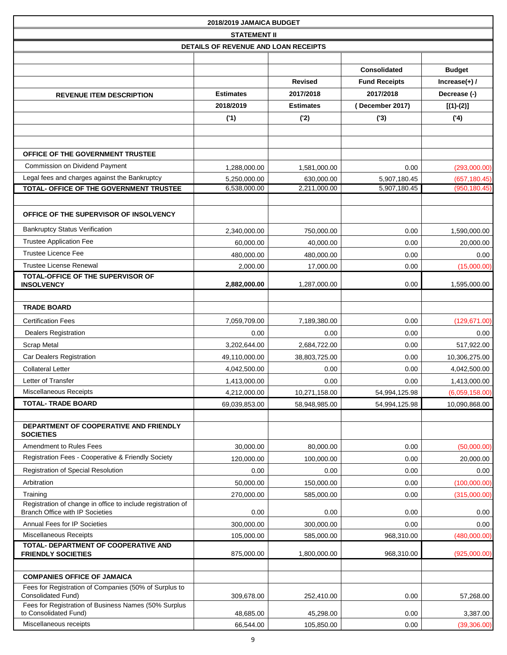|                                                                                                       | 2018/2019 JAMAICA BUDGET             |                  |                      |                  |
|-------------------------------------------------------------------------------------------------------|--------------------------------------|------------------|----------------------|------------------|
|                                                                                                       | <b>STATEMENT II</b>                  |                  |                      |                  |
|                                                                                                       | DETAILS OF REVENUE AND LOAN RECEIPTS |                  |                      |                  |
|                                                                                                       |                                      |                  |                      |                  |
|                                                                                                       |                                      |                  | <b>Consolidated</b>  | <b>Budget</b>    |
|                                                                                                       |                                      | <b>Revised</b>   | <b>Fund Receipts</b> | Increase $(+)$ / |
| <b>REVENUE ITEM DESCRIPTION</b>                                                                       | <b>Estimates</b>                     | 2017/2018        | 2017/2018            | Decrease (-)     |
|                                                                                                       | 2018/2019                            | <b>Estimates</b> | (December 2017)      | $[(1)-(2)]$      |
|                                                                                                       | (1)                                  | ('2)             | (3)                  | (4)              |
|                                                                                                       |                                      |                  |                      |                  |
|                                                                                                       |                                      |                  |                      |                  |
| OFFICE OF THE GOVERNMENT TRUSTEE                                                                      |                                      |                  |                      |                  |
| Commission on Dividend Payment                                                                        | 1,288,000.00                         | 1,581,000.00     | 0.00                 | (293,000.00)     |
| Legal fees and charges against the Bankruptcy                                                         | 5,250,000.00                         | 630,000.00       | 5,907,180.45         | (657, 180.45)    |
| TOTAL- OFFICE OF THE GOVERNMENT TRUSTEE                                                               | 6,538,000.00                         | 2,211,000.00     | 5,907,180.45         | (950, 180.45)    |
|                                                                                                       |                                      |                  |                      |                  |
| OFFICE OF THE SUPERVISOR OF INSOLVENCY                                                                |                                      |                  |                      |                  |
| <b>Bankruptcy Status Verification</b>                                                                 | 2,340,000.00                         | 750,000.00       | 0.00                 | 1,590,000.00     |
| <b>Trustee Application Fee</b>                                                                        | 60,000.00                            | 40,000.00        | 0.00                 | 20,000.00        |
| Trustee Licence Fee                                                                                   | 480,000.00                           | 480,000.00       | 0.00                 | 0.00             |
| <b>Trustee License Renewal</b>                                                                        | 2,000.00                             | 17,000.00        | 0.00                 | (15,000.00)      |
| TOTAL-OFFICE OF THE SUPERVISOR OF<br><b>INSOLVENCY</b>                                                | 2,882,000.00                         | 1,287,000.00     | 0.00                 | 1,595,000.00     |
|                                                                                                       |                                      |                  |                      |                  |
| <b>TRADE BOARD</b>                                                                                    |                                      |                  |                      |                  |
| <b>Certification Fees</b>                                                                             | 7,059,709.00                         | 7,189,380.00     | 0.00                 | (129, 671.00)    |
| <b>Dealers Registration</b>                                                                           | 0.00                                 | 0.00             | 0.00                 | 0.00             |
| <b>Scrap Metal</b>                                                                                    | 3,202,644.00                         | 2,684,722.00     | 0.00                 | 517,922.00       |
| Car Dealers Registration                                                                              | 49,110,000.00                        | 38,803,725.00    | 0.00                 | 10,306,275.00    |
| <b>Collateral Letter</b>                                                                              | 4,042,500.00                         | 0.00             | 0.00                 | 4,042,500.00     |
| Letter of Transfer                                                                                    | 1,413,000.00                         | 0.00             | 0.00                 | 1,413,000.00     |
| <b>Miscellaneous Receipts</b>                                                                         | 4,212,000.00                         | 10,271,158.00    | 54,994,125.98        | (6,059,158.00)   |
| <b>TOTAL- TRADE BOARD</b>                                                                             | 69,039,853.00                        | 58,948,985.00    | 54,994,125.98        | 10,090,868.00    |
|                                                                                                       |                                      |                  |                      |                  |
| DEPARTMENT OF COOPERATIVE AND FRIENDLY<br><b>SOCIETIES</b>                                            |                                      |                  |                      |                  |
| Amendment to Rules Fees                                                                               | 30,000.00                            | 80,000.00        | 0.00                 | (50,000.00)      |
| Registration Fees - Cooperative & Friendly Society                                                    | 120,000.00                           | 100,000.00       | 0.00                 | 20,000.00        |
| <b>Registration of Special Resolution</b>                                                             | 0.00                                 | 0.00             | 0.00                 | 0.00             |
| Arbitration                                                                                           | 50,000.00                            | 150,000.00       | 0.00                 | (100,000.00)     |
| Training                                                                                              | 270,000.00                           | 585,000.00       | 0.00                 | (315,000.00)     |
| Registration of change in office to include registration of<br><b>Branch Office with IP Societies</b> | 0.00                                 | 0.00             | 0.00                 | 0.00             |
| Annual Fees for IP Societies                                                                          | 300,000.00                           | 300,000.00       | 0.00                 | 0.00             |
| <b>Miscellaneous Receipts</b>                                                                         | 105,000.00                           | 585,000.00       | 968,310.00           | (480,000.00)     |
| TOTAL- DEPARTMENT OF COOPERATIVE AND<br><b>FRIENDLY SOCIETIES</b>                                     | 875,000.00                           | 1,800,000.00     | 968,310.00           | (925,000.00)     |
|                                                                                                       |                                      |                  |                      |                  |
| <b>COMPANIES OFFICE OF JAMAICA</b>                                                                    |                                      |                  |                      |                  |
| Fees for Registration of Companies (50% of Surplus to<br><b>Consolidated Fund)</b>                    | 309,678.00                           | 252,410.00       | 0.00                 | 57,268.00        |
| Fees for Registration of Business Names (50% Surplus<br>to Consolidated Fund)                         | 48,685.00                            | 45,298.00        | 0.00                 | 3,387.00         |
| Miscellaneous receipts                                                                                | 66,544.00                            | 105,850.00       | 0.00                 | (39,306.00)      |
|                                                                                                       |                                      |                  |                      |                  |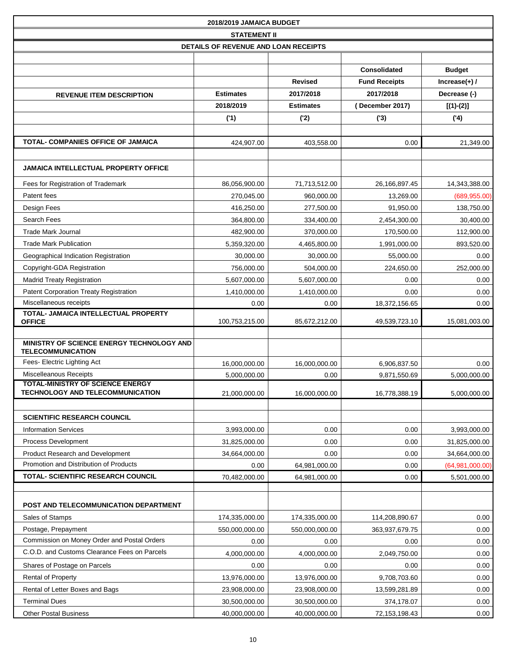|                                                                       | 2018/2019 JAMAICA BUDGET             |                  |                      |                  |
|-----------------------------------------------------------------------|--------------------------------------|------------------|----------------------|------------------|
|                                                                       | <b>STATEMENT II</b>                  |                  |                      |                  |
|                                                                       | DETAILS OF REVENUE AND LOAN RECEIPTS |                  |                      |                  |
|                                                                       |                                      |                  |                      |                  |
|                                                                       |                                      |                  | <b>Consolidated</b>  | <b>Budget</b>    |
|                                                                       |                                      | <b>Revised</b>   | <b>Fund Receipts</b> | Increase $(+)$ / |
| <b>REVENUE ITEM DESCRIPTION</b>                                       | <b>Estimates</b>                     | 2017/2018        | 2017/2018            | Decrease (-)     |
|                                                                       | 2018/2019                            | <b>Estimates</b> | (December 2017)      | $[(1)-(2)]$      |
|                                                                       | (1)                                  | ('2)             | (3)                  | (4)              |
|                                                                       |                                      |                  |                      |                  |
| TOTAL- COMPANIES OFFICE OF JAMAICA                                    | 424,907.00                           | 403,558.00       | 0.00                 | 21,349.00        |
|                                                                       |                                      |                  |                      |                  |
| <b>JAMAICA INTELLECTUAL PROPERTY OFFICE</b>                           |                                      |                  |                      |                  |
| Fees for Registration of Trademark                                    | 86,056,900.00                        | 71,713,512.00    | 26,166,897.45        | 14,343,388.00    |
| Patent fees                                                           | 270,045.00                           | 960,000.00       | 13,269.00            | (689, 955.00)    |
| Design Fees                                                           | 416,250.00                           | 277.500.00       | 91,950.00            | 138,750.00       |
| Search Fees                                                           | 364,800.00                           | 334,400.00       | 2,454,300.00         | 30,400.00        |
| <b>Trade Mark Journal</b>                                             | 482,900.00                           | 370,000.00       | 170,500.00           | 112,900.00       |
| <b>Trade Mark Publication</b>                                         | 5,359,320.00                         | 4,465,800.00     | 1,991,000.00         | 893,520.00       |
| Geographical Indication Registration                                  | 30,000.00                            | 30,000.00        | 55,000.00            | 0.00             |
| Copyright-GDA Registration                                            | 756,000.00                           | 504,000.00       | 224,650.00           | 252,000.00       |
| <b>Madrid Treaty Registration</b>                                     | 5,607,000.00                         | 5,607,000.00     | 0.00                 | 0.00             |
| <b>Patent Corporation Treaty Registration</b>                         | 1,410,000.00                         | 1,410,000.00     | 0.00                 | 0.00             |
| Miscellaneous receipts                                                | 0.00                                 | 0.00             | 18,372,156.65        | 0.00             |
| TOTAL- JAMAICA INTELLECTUAL PROPERTY                                  |                                      |                  |                      |                  |
| <b>OFFICE</b>                                                         | 100,753,215.00                       | 85,672,212.00    | 49,539,723.10        | 15,081,003.00    |
| MINISTRY OF SCIENCE ENERGY TECHNOLOGY AND<br><b>TELECOMMUNICATION</b> |                                      |                  |                      |                  |
| Fees- Electric Lighting Act                                           | 16,000,000.00                        | 16,000,000.00    | 6,906,837.50         | 0.00             |
| <b>Miscelleanous Receipts</b>                                         | 5,000,000.00                         | 0.00             | 9,871,550.69         | 5,000,000.00     |
| <b>TOTAL-MINISTRY OF SCIENCE ENERGY</b>                               |                                      |                  |                      |                  |
| <b>TECHNOLOGY AND TELECOMMUNICATION</b>                               | 21,000,000.00                        | 16,000,000.00    | 16,778,388.19        | 5,000,000.00     |
|                                                                       |                                      |                  |                      |                  |
| <b>SCIENTIFIC RESEARCH COUNCIL</b>                                    |                                      |                  |                      |                  |
| <b>Information Services</b>                                           | 3,993,000.00                         | 0.00             | 0.00                 | 3,993,000.00     |
| Process Development                                                   | 31,825,000.00                        | 0.00             | 0.00                 | 31,825,000.00    |
| Product Research and Development                                      | 34,664,000.00                        | 0.00             | 0.00                 | 34,664,000.00    |
| Promotion and Distribution of Products                                | 0.00                                 | 64,981,000.00    | 0.00                 | (64,981,000.00)  |
| <b>TOTAL- SCIENTIFIC RESEARCH COUNCIL</b>                             | 70,482,000.00                        | 64,981,000.00    | 0.00                 | 5,501,000.00     |
|                                                                       |                                      |                  |                      |                  |
| POST AND TELECOMMUNICATION DEPARTMENT                                 |                                      |                  |                      |                  |
| Sales of Stamps                                                       | 174,335,000.00                       | 174,335,000.00   | 114,208,890.67       | 0.00             |
| Postage, Prepayment                                                   | 550,000,000.00                       | 550,000,000.00   | 363,937,679.75       | 0.00             |
| Commission on Money Order and Postal Orders                           | 0.00                                 | 0.00             | 0.00                 | 0.00             |
| C.O.D. and Customs Clearance Fees on Parcels                          | 4,000,000.00                         | 4,000,000.00     | 2,049,750.00         | 0.00             |
| Shares of Postage on Parcels                                          | 0.00                                 | 0.00             | 0.00                 | 0.00             |
| <b>Rental of Property</b>                                             | 13,976,000.00                        | 13,976,000.00    | 9,708,703.60         | 0.00             |
| Rental of Letter Boxes and Bags                                       | 23,908,000.00                        | 23,908,000.00    | 13,599,281.89        | 0.00             |
| <b>Terminal Dues</b>                                                  | 30,500,000.00                        | 30,500,000.00    | 374,178.07           | 0.00             |
| <b>Other Postal Business</b>                                          | 40,000,000.00                        | 40,000,000.00    | 72, 153, 198. 43     | 0.00             |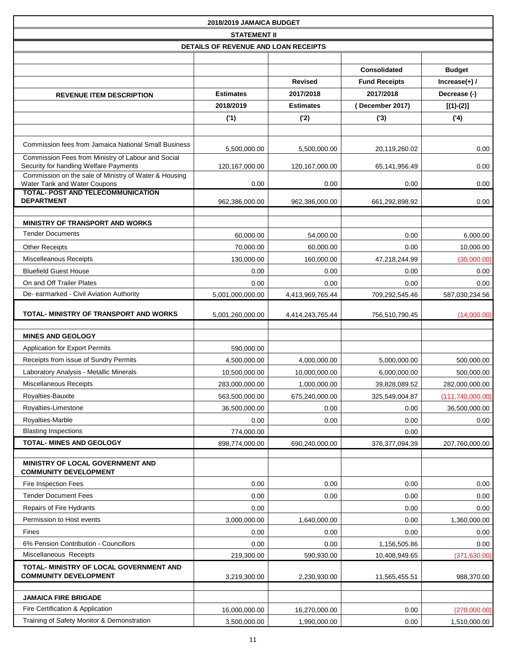|                                                                                              | 2018/2019 JAMAICA BUDGET             |                  |                      |                    |
|----------------------------------------------------------------------------------------------|--------------------------------------|------------------|----------------------|--------------------|
|                                                                                              | <b>STATEMENT II</b>                  |                  |                      |                    |
|                                                                                              | DETAILS OF REVENUE AND LOAN RECEIPTS |                  |                      |                    |
|                                                                                              |                                      |                  |                      |                    |
|                                                                                              |                                      |                  | <b>Consolidated</b>  | <b>Budget</b>      |
|                                                                                              |                                      | <b>Revised</b>   | <b>Fund Receipts</b> | $Increase(+)$ /    |
| <b>REVENUE ITEM DESCRIPTION</b>                                                              | <b>Estimates</b>                     | 2017/2018        | 2017/2018            | Decrease (-)       |
|                                                                                              | 2018/2019                            | <b>Estimates</b> | (December 2017)      | $[(1)-(2)]$        |
|                                                                                              | (1)                                  | ('2)             | (3)                  | (4)                |
|                                                                                              |                                      |                  |                      |                    |
| <b>Commission fees from Jamaica National Small Business</b>                                  | 5,500,000.00                         | 5,500,000.00     | 20,119,260.02        | 0.00               |
| Commission Fees from Ministry of Labour and Social<br>Security for handling Welfare Payments | 120,167,000.00                       | 120,167,000.00   | 65,141,956.49        | 0.00               |
| Commission on the sale of Ministry of Water & Housing<br>Water Tank and Water Coupons        | 0.00                                 | 0.00             | 0.00                 | 0.00               |
| <b>TOTAL- POST AND TELECOMMUNICATION</b><br><b>DEPARTMENT</b>                                | 962,386,000.00                       | 962,386,000.00   | 661,292,898.92       | 0.00               |
|                                                                                              |                                      |                  |                      |                    |
| <b>MINISTRY OF TRANSPORT AND WORKS</b>                                                       |                                      |                  |                      |                    |
| <b>Tender Documents</b>                                                                      | 60,000.00                            | 54,000.00        | 0.00                 | 6,000.00           |
| <b>Other Receipts</b>                                                                        | 70,000.00                            | 60,000.00        | 0.00                 | 10,000.00          |
| Miscelleanous Receipts                                                                       | 130,000.00                           | 160,000.00       | 47,218,244.99        | (30,000.00)        |
| <b>Bluefield Guest House</b>                                                                 | 0.00                                 | 0.00             | 0.00                 | 0.00               |
| On and Off Trailer Plates                                                                    | 0.00                                 | 0.00             | 0.00                 | 0.00               |
| De- earmarked - Civil Aviation Authority                                                     | 5,001,000,000.00                     | 4,413,969,765.44 | 709,292,545.46       | 587,030,234.56     |
| TOTAL- MINISTRY OF TRANSPORT AND WORKS                                                       | 5,001,260,000.00                     | 4,414,243,765.44 | 756,510,790.45       | (14,000.00)        |
| <b>MINES AND GEOLOGY</b>                                                                     |                                      |                  |                      |                    |
| Application for Export Permits                                                               | 590,000.00                           |                  |                      |                    |
| Receipts from issue of Sundry Permits                                                        | 4,500,000.00                         | 4,000,000.00     | 5,000,000.00         | 500,000.00         |
| Laboratory Analysis - Metallic Minerals                                                      | 10,500,000.00                        | 10,000,000.00    | 6,000,000.00         | 500,000.00         |
| Miscellaneous Receipts                                                                       | 283,000,000.00                       | 1,000,000.00     | 39,828,089.52        | 282,000,000.00     |
| Royalties-Bauxite                                                                            | 563,500,000.00                       | 675,240,000.00   | 325,549,004.87       | (111, 740, 000.00) |
| Royalties-Limestone                                                                          | 36,500,000.00                        | 0.00             | 0.00                 | 36,500,000.00      |
| Royalties-Marble                                                                             | 0.00                                 | 0.00             | 0.00                 | 0.00               |
| <b>Blasting Inspections</b>                                                                  | 774,000.00                           |                  | 0.00                 |                    |
| <b>TOTAL- MINES AND GEOLOGY</b>                                                              | 898,774,000.00                       | 690,240,000.00   | 376, 377, 094. 39    | 207,760,000.00     |
|                                                                                              |                                      |                  |                      |                    |
| MINISTRY OF LOCAL GOVERNMENT AND<br><b>COMMUNITY DEVELOPMENT</b>                             |                                      |                  |                      |                    |
| Fire Inspection Fees                                                                         | 0.00                                 | 0.00             | 0.00                 | 0.00               |
| <b>Tender Document Fees</b>                                                                  | 0.00                                 | 0.00             | 0.00                 | 0.00               |
| Repairs of Fire Hydrants                                                                     | 0.00                                 |                  | 0.00                 | 0.00               |
| Permission to Host events                                                                    | 3,000,000.00                         | 1,640,000.00     | 0.00                 | 1,360,000.00       |
| Fines                                                                                        | 0.00                                 | 0.00             | 0.00                 | 0.00               |
| 6% Pension Contribution - Councillors                                                        | 0.00                                 | 0.00             | 1,156,505.86         | 0.00               |
| Miscellaneous Receipts                                                                       | 219,300.00                           | 590,930.00       | 10,408,949.65        | (371, 630.00)      |
| TOTAL- MINISTRY OF LOCAL GOVERNMENT AND<br><b>COMMUNITY DEVELOPMENT</b>                      | 3,219,300.00                         | 2,230,930.00     | 11,565,455.51        | 988,370.00         |
|                                                                                              |                                      |                  |                      |                    |
| <b>JAMAICA FIRE BRIGADE</b>                                                                  |                                      |                  |                      |                    |
| Fire Certification & Application                                                             | 16,000,000.00                        | 16,270,000.00    | 0.00                 | (270,000.00)       |
| Training of Safety Monitor & Demonstration                                                   | 3,500,000.00                         | 1,990,000.00     | 0.00                 | 1,510,000.00       |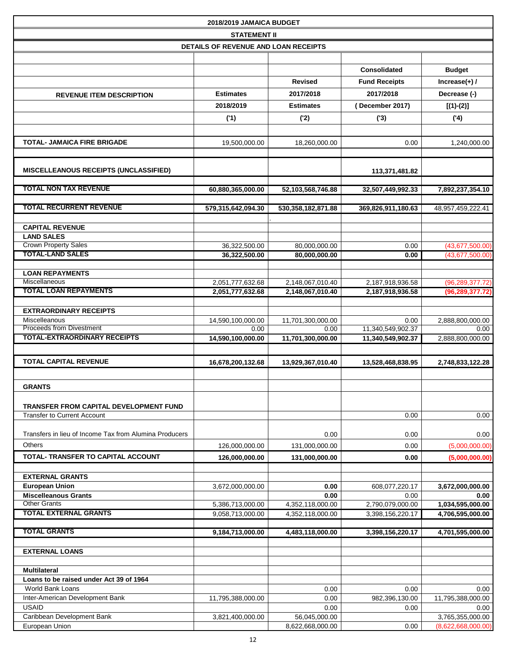|                                                        | 2018/2019 JAMAICA BUDGET             |                                      |                                        |                                      |
|--------------------------------------------------------|--------------------------------------|--------------------------------------|----------------------------------------|--------------------------------------|
|                                                        | <b>STATEMENT II</b>                  |                                      |                                        |                                      |
|                                                        | DETAILS OF REVENUE AND LOAN RECEIPTS |                                      |                                        |                                      |
|                                                        |                                      |                                      |                                        |                                      |
|                                                        |                                      |                                      | Consolidated                           | <b>Budget</b>                        |
|                                                        |                                      | <b>Revised</b>                       | <b>Fund Receipts</b>                   | $Increase(+)$ /                      |
| <b>REVENUE ITEM DESCRIPTION</b>                        | <b>Estimates</b>                     | 2017/2018                            | 2017/2018                              | Decrease (-)                         |
|                                                        | 2018/2019                            | <b>Estimates</b>                     | (December 2017)                        | $[(1)-(2)]$                          |
|                                                        | (1)                                  | ('2)                                 | (3)                                    | (4)                                  |
|                                                        |                                      |                                      |                                        |                                      |
| <b>TOTAL- JAMAICA FIRE BRIGADE</b>                     |                                      |                                      |                                        |                                      |
|                                                        | 19,500,000.00                        | 18,260,000.00                        | 0.00                                   | 1,240,000.00                         |
|                                                        |                                      |                                      |                                        |                                      |
| <b>MISCELLEANOUS RECEIPTS (UNCLASSIFIED)</b>           |                                      |                                      | 113,371,481.82                         |                                      |
|                                                        |                                      |                                      |                                        |                                      |
| <b>TOTAL NON TAX REVENUE</b>                           | 60,880,365,000.00                    | 52,103,568,746.88                    | 32,507,449,992.33                      | 7,892,237,354.10                     |
| <b>TOTAL RECURRENT REVENUE</b>                         | 579,315,642,094.30                   | 530, 358, 182, 871.88                | 369,826,911,180.63                     | 48,957,459,222.41                    |
|                                                        |                                      |                                      |                                        |                                      |
| <b>CAPITAL REVENUE</b>                                 |                                      |                                      |                                        |                                      |
| <b>LAND SALES</b>                                      |                                      |                                      |                                        |                                      |
| <b>Crown Property Sales</b>                            | 36,322,500.00                        | 80,000,000.00                        | 0.00                                   | (43,677,500.00)                      |
| <b>TOTAL-LAND SALES</b>                                | 36,322,500.00                        | 80,000,000.00                        | 0.00                                   | (43,677,500.00)                      |
| <b>LOAN REPAYMENTS</b>                                 |                                      |                                      |                                        |                                      |
| Miscellaneous                                          | 2,051,777,632.68                     | 2,148,067,010.40                     | 2,187,918,936.58                       | (96, 289, 377.72)                    |
| <b>TOTAL LOAN REPAYMENTS</b>                           | 2,051,777,632.68                     | 2,148,067,010.40                     | 2,187,918,936.58                       | (96, 289, 377.72)                    |
|                                                        |                                      |                                      |                                        |                                      |
| <b>EXTRAORDINARY RECEIPTS</b>                          |                                      |                                      |                                        |                                      |
| Miscelleanous<br><b>Proceeds from Divestment</b>       | 14,590,100,000.00                    | 11,701,300,000.00                    | 0.00                                   | 2,888,800,000.00                     |
| <b>TOTAL-EXTRAORDINARY RECEIPTS</b>                    | 0.00<br>14,590,100,000.00            | 0.00<br>11,701,300,000.00            | 11,340,549,902.37<br>11,340,549,902.37 | 0.00<br>2,888,800,000.00             |
|                                                        |                                      |                                      |                                        |                                      |
| <b>TOTAL CAPITAL REVENUE</b>                           |                                      |                                      |                                        |                                      |
|                                                        | 16,678,200,132.68                    | 13,929,367,010.40                    | 13,528,468,838.95                      | 2,748,833,122.28                     |
|                                                        |                                      |                                      |                                        |                                      |
| <b>GRANTS</b>                                          |                                      |                                      |                                        |                                      |
| TRANSFER FROM CAPITAL DEVELOPMENT FUND                 |                                      |                                      |                                        |                                      |
| <b>Transfer to Current Account</b>                     |                                      |                                      | 0.00                                   | 0.00                                 |
|                                                        |                                      |                                      |                                        |                                      |
| Transfers in lieu of Income Tax from Alumina Producers |                                      | 0.00                                 | 0.00                                   | 0.00                                 |
| Others                                                 | 126,000,000.00                       | 131,000,000.00                       | 0.00                                   | (5,000,000.00)                       |
| TOTAL- TRANSFER TO CAPITAL ACCOUNT                     | 126,000,000.00                       | 131,000,000.00                       | 0.00                                   | (5,000,000.00)                       |
|                                                        |                                      |                                      |                                        |                                      |
| <b>EXTERNAL GRANTS</b>                                 |                                      |                                      |                                        |                                      |
| <b>European Union</b>                                  | 3,672,000,000.00                     | 0.00                                 | 608,077,220.17                         | 3,672,000,000.00                     |
| <b>Miscelleanous Grants</b><br><b>Other Grants</b>     |                                      | 0.00                                 | 0.00                                   | 0.00                                 |
| <b>TOTAL EXTERNAL GRANTS</b>                           | 5,386,713,000.00<br>9,058,713,000.00 | 4,352,118,000.00<br>4,352,118,000.00 | 2,790,079,000.00<br>3,398,156,220.17   | 1,034,595,000.00<br>4,706,595,000.00 |
|                                                        |                                      |                                      |                                        |                                      |
| <b>TOTAL GRANTS</b>                                    | 9,184,713,000.00                     | 4,483,118,000.00                     | 3,398,156,220.17                       | 4,701,595,000.00                     |
|                                                        |                                      |                                      |                                        |                                      |
| <b>EXTERNAL LOANS</b>                                  |                                      |                                      |                                        |                                      |
| <b>Multilateral</b>                                    |                                      |                                      |                                        |                                      |
| Loans to be raised under Act 39 of 1964                |                                      |                                      |                                        |                                      |
| World Bank Loans                                       |                                      | 0.00                                 | 0.00                                   | 0.00                                 |
| Inter-American Development Bank                        | 11,795,388,000.00                    | 0.00                                 | 982,396,130.00                         | 11,795,388,000.00                    |
| <b>USAID</b>                                           |                                      | 0.00                                 | 0.00                                   | 0.00                                 |
| Caribbean Development Bank                             | 3,821,400,000.00                     | 56,045,000.00                        |                                        | 3,765,355,000.00                     |
| European Union                                         |                                      | 8,622,668,000.00                     | 0.00                                   | (8,622,668,000.00)                   |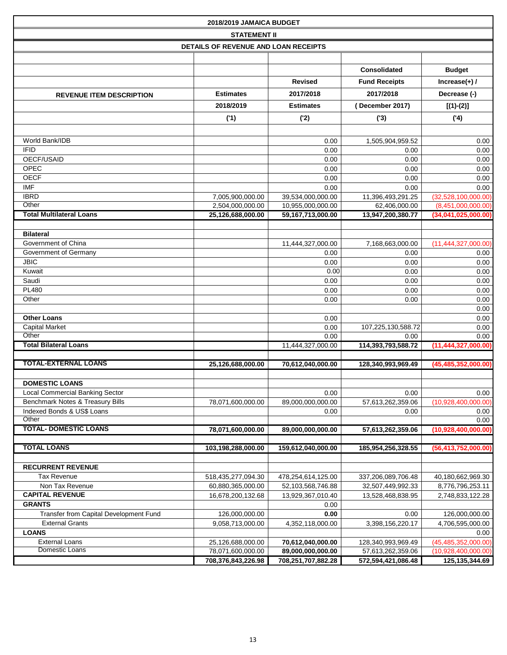| 2018/2019 JAMAICA BUDGET                |                                      |                    |                          |                        |  |  |  |  |  |  |
|-----------------------------------------|--------------------------------------|--------------------|--------------------------|------------------------|--|--|--|--|--|--|
|                                         | <b>STATEMENT II</b>                  |                    |                          |                        |  |  |  |  |  |  |
|                                         | DETAILS OF REVENUE AND LOAN RECEIPTS |                    |                          |                        |  |  |  |  |  |  |
|                                         |                                      |                    |                          |                        |  |  |  |  |  |  |
|                                         |                                      |                    | <b>Consolidated</b>      | <b>Budget</b>          |  |  |  |  |  |  |
|                                         |                                      | <b>Revised</b>     | <b>Fund Receipts</b>     | $Increase(+)$ /        |  |  |  |  |  |  |
| <b>REVENUE ITEM DESCRIPTION</b>         | <b>Estimates</b>                     | 2017/2018          | 2017/2018                | Decrease (-)           |  |  |  |  |  |  |
|                                         | 2018/2019                            | <b>Estimates</b>   | (December 2017)          | $[(1)-(2)]$            |  |  |  |  |  |  |
|                                         |                                      |                    |                          |                        |  |  |  |  |  |  |
|                                         | (1)                                  | (2)                | (3)                      | (4)                    |  |  |  |  |  |  |
|                                         |                                      |                    |                          |                        |  |  |  |  |  |  |
| World Bank/IDB<br><b>IFID</b>           |                                      | 0.00<br>0.00       | 1,505,904,959.52<br>0.00 | 0.00<br>0.00           |  |  |  |  |  |  |
| OECF/USAID                              |                                      | 0.00               | 0.00                     | 0.00                   |  |  |  |  |  |  |
| OPEC                                    |                                      | 0.00               | 0.00                     | 0.00                   |  |  |  |  |  |  |
| <b>OECF</b>                             |                                      | 0.00               | 0.00                     | 0.00                   |  |  |  |  |  |  |
| <b>IMF</b>                              |                                      | 0.00               | 0.00                     | 0.00                   |  |  |  |  |  |  |
| <b>IBRD</b>                             | 7,005,900,000.00                     | 39,534,000,000.00  | 11,396,493,291.25        | (32,528,100,000.00)    |  |  |  |  |  |  |
| Other                                   | 2,504,000,000.00                     | 10,955,000,000.00  | 62,406,000.00            | (8,451,000,000.00)     |  |  |  |  |  |  |
| <b>Total Multilateral Loans</b>         | 25,126,688,000.00                    | 59,167,713,000.00  | 13,947,200,380.77        | (34,041,025,000.00)    |  |  |  |  |  |  |
|                                         |                                      |                    |                          |                        |  |  |  |  |  |  |
| <b>Bilateral</b>                        |                                      |                    |                          |                        |  |  |  |  |  |  |
| Government of China                     |                                      | 11,444,327,000.00  | 7,168,663,000.00         | (11,444,327,000.00)    |  |  |  |  |  |  |
| Government of Germany                   |                                      | 0.00               | 0.00                     | 0.00                   |  |  |  |  |  |  |
| <b>JBIC</b><br>Kuwait                   |                                      | 0.00<br>0.00       | 0.00<br>0.00             | 0.00                   |  |  |  |  |  |  |
| Saudi                                   |                                      | 0.00               | 0.00                     | 0.00<br>0.00           |  |  |  |  |  |  |
| <b>PL480</b>                            |                                      | 0.00               | 0.00                     | 0.00                   |  |  |  |  |  |  |
| Other                                   |                                      | 0.00               | 0.00                     | 0.00                   |  |  |  |  |  |  |
|                                         |                                      |                    |                          | 0.00                   |  |  |  |  |  |  |
| <b>Other Loans</b>                      |                                      | 0.00               |                          | 0.00                   |  |  |  |  |  |  |
| <b>Capital Market</b>                   |                                      | 0.00               | 107,225,130,588.72       | 0.00                   |  |  |  |  |  |  |
| Other                                   |                                      | 0.00               | 0.00                     | 0.00                   |  |  |  |  |  |  |
| Total Bilateral Loans                   |                                      | 11,444,327,000.00  | 114,393,793,588.72       | (11, 444, 327, 000.00) |  |  |  |  |  |  |
|                                         |                                      |                    |                          |                        |  |  |  |  |  |  |
| <b>TOTAL-EXTERNAL LOANS</b>             | 25,126,688,000.00                    | 70,612,040,000.00  | 128,340,993,969.49       | (45, 485, 352, 000.00) |  |  |  |  |  |  |
| <b>DOMESTIC LOANS</b>                   |                                      |                    |                          |                        |  |  |  |  |  |  |
| Local Commercial Banking Sector         |                                      | 0.00               | 0.00                     | 0.00                   |  |  |  |  |  |  |
| Benchmark Notes & Treasury Bills        | 78,071,600,000.00                    | 89,000,000,000.00  | 57,613,262,359.06        | (10,928,400,000.00)    |  |  |  |  |  |  |
| Indexed Bonds & US\$ Loans              |                                      | 0.00               | 0.00                     | 0.00                   |  |  |  |  |  |  |
| Other                                   |                                      |                    |                          | 0.00                   |  |  |  |  |  |  |
| <b>TOTAL- DOMESTIC LOANS</b>            | 78,071,600,000.00                    | 89,000,000,000.00  | 57,613,262,359.06        | (10,928,400,000.00)    |  |  |  |  |  |  |
| <b>TOTAL LOANS</b>                      | 103,198,288,000.00                   | 159,612,040,000.00 | 185,954,256,328.55       | (56, 413, 752, 000.00) |  |  |  |  |  |  |
|                                         |                                      |                    |                          |                        |  |  |  |  |  |  |
| <b>RECURRENT REVENUE</b>                |                                      |                    |                          |                        |  |  |  |  |  |  |
| <b>Tax Revenue</b>                      | 518,435,277,094.30                   | 478,254,614,125.00 | 337,206,089,706.48       | 40,180,662,969.30      |  |  |  |  |  |  |
| Non Tax Revenue                         | 60,880,365,000.00                    | 52,103,568,746.88  | 32,507,449,992.33        | 8,776,796,253.11       |  |  |  |  |  |  |
| <b>CAPITAL REVENUE</b>                  | 16,678,200,132.68                    | 13,929,367,010.40  | 13,528,468,838.95        | 2,748,833,122.28       |  |  |  |  |  |  |
| <b>GRANTS</b>                           |                                      | 0.00               |                          |                        |  |  |  |  |  |  |
| Transfer from Capital Development Fund  | 126,000,000.00                       | 0.00               | 0.00                     | 126,000,000.00         |  |  |  |  |  |  |
| <b>External Grants</b>                  | 9,058,713,000.00                     | 4,352,118,000.00   | 3,398,156,220.17         | 4,706,595,000.00       |  |  |  |  |  |  |
| <b>LOANS</b>                            |                                      |                    |                          | 0.00                   |  |  |  |  |  |  |
| <b>External Loans</b><br>Domestic Loans | 25,126,688,000.00                    | 70,612,040,000.00  | 128,340,993,969.49       | (45, 485, 352, 000.00) |  |  |  |  |  |  |
|                                         | 78,071,600,000.00                    | 89,000,000,000.00  | 57,613,262,359.06        | (10,928,400,000.00)    |  |  |  |  |  |  |
|                                         | 708,376,843,226.98                   | 708,251,707,882.28 | 572,594,421,086.48       | 125,135,344.69         |  |  |  |  |  |  |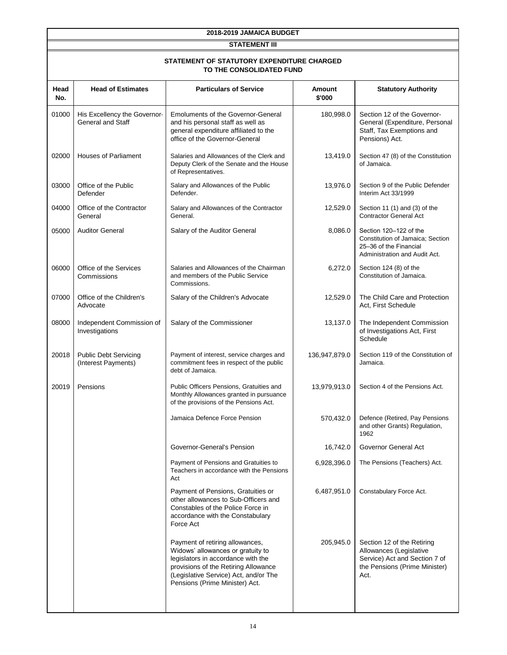**STATEMENT III**

#### **TO THE CONSOLIDATED FUND STATEMENT OF STATUTORY EXPENDITURE CHARGED**

| Head<br>No. | <b>Head of Estimates</b>                            | <b>Particulars of Service</b>                                                                                                                                                                                                 | Amount<br>\$'000 | <b>Statutory Authority</b>                                                                                                      |
|-------------|-----------------------------------------------------|-------------------------------------------------------------------------------------------------------------------------------------------------------------------------------------------------------------------------------|------------------|---------------------------------------------------------------------------------------------------------------------------------|
| 01000       | His Excellency the Governor<br>General and Staff    | <b>Emoluments of the Governor-General</b><br>and his personal staff as well as<br>general expenditure affiliated to the<br>office of the Governor-General                                                                     | 180,998.0        | Section 12 of the Governor-<br>General (Expenditure, Personal<br>Staff, Tax Exemptions and<br>Pensions) Act.                    |
| 02000       | <b>Houses of Parliament</b>                         | Salaries and Allowances of the Clerk and<br>Deputy Clerk of the Senate and the House<br>of Representatives.                                                                                                                   | 13,419.0         | Section 47 (8) of the Constitution<br>of Jamaica.                                                                               |
| 03000       | Office of the Public<br>Defender                    | Salary and Allowances of the Public<br>Defender.                                                                                                                                                                              | 13,976.0         | Section 9 of the Public Defender<br>Interim Act 33/1999                                                                         |
| 04000       | Office of the Contractor<br>General                 | Salary and Allowances of the Contractor<br>General.                                                                                                                                                                           | 12,529.0         | Section 11 (1) and (3) of the<br><b>Contractor General Act</b>                                                                  |
| 05000       | <b>Auditor General</b>                              | Salary of the Auditor General                                                                                                                                                                                                 | 8,086.0          | Section 120-122 of the<br>Constitution of Jamaica; Section<br>25-36 of the Financial<br>Administration and Audit Act.           |
| 06000       | Office of the Services<br>Commissions               | Salaries and Allowances of the Chairman<br>and members of the Public Service<br>Commissions.                                                                                                                                  | 6,272.0          | Section 124 (8) of the<br>Constitution of Jamaica.                                                                              |
| 07000       | Office of the Children's<br>Advocate                | Salary of the Children's Advocate                                                                                                                                                                                             | 12,529.0         | The Child Care and Protection<br>Act, First Schedule                                                                            |
| 08000       | Independent Commission of<br>Investigations         | Salary of the Commissioner                                                                                                                                                                                                    | 13,137.0         | The Independent Commission<br>of Investigations Act, First<br>Schedule                                                          |
| 20018       | <b>Public Debt Servicing</b><br>(Interest Payments) | Payment of interest, service charges and<br>commitment fees in respect of the public<br>debt of Jamaica.                                                                                                                      | 136,947,879.0    | Section 119 of the Constitution of<br>Jamaica.                                                                                  |
| 20019       | Pensions                                            | Public Officers Pensions, Gratuities and<br>Monthly Allowances granted in pursuance<br>of the provisions of the Pensions Act.                                                                                                 | 13,979,913.0     | Section 4 of the Pensions Act.                                                                                                  |
|             |                                                     | Jamaica Defence Force Pension                                                                                                                                                                                                 | 570,432.0        | Defence (Retired, Pay Pensions<br>and other Grants) Regulation,<br>1962                                                         |
|             |                                                     | Governor-General's Pension                                                                                                                                                                                                    | 16,742.0         | Governor General Act                                                                                                            |
|             |                                                     | Payment of Pensions and Gratuities to<br>Teachers in accordance with the Pensions<br>Act                                                                                                                                      | 6,928,396.0      | The Pensions (Teachers) Act.                                                                                                    |
|             |                                                     | Payment of Pensions, Gratuities or<br>other allowances to Sub-Officers and<br>Constables of the Police Force in<br>accordance with the Constabulary<br>Force Act                                                              | 6,487,951.0      | Constabulary Force Act.                                                                                                         |
|             |                                                     | Payment of retiring allowances,<br>Widows' allowances or gratuity to<br>legislators in accordance with the<br>provisions of the Retiring Allowance<br>(Legislative Service) Act, and/or The<br>Pensions (Prime Minister) Act. | 205,945.0        | Section 12 of the Retiring<br>Allowances (Legislative<br>Service) Act and Section 7 of<br>the Pensions (Prime Minister)<br>Act. |
|             |                                                     |                                                                                                                                                                                                                               |                  |                                                                                                                                 |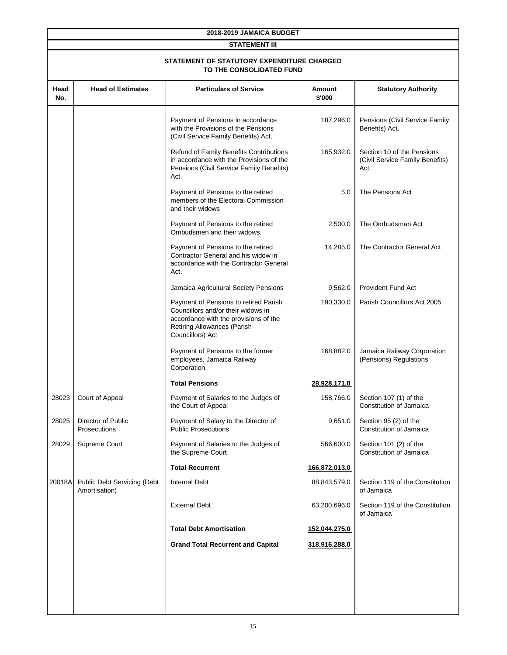|             | 2018-2019 JAMAICA BUDGET                     |                                                                                                                                                                         |                  |                                                                       |  |  |  |  |  |  |  |
|-------------|----------------------------------------------|-------------------------------------------------------------------------------------------------------------------------------------------------------------------------|------------------|-----------------------------------------------------------------------|--|--|--|--|--|--|--|
|             |                                              | <b>STATEMENT III</b>                                                                                                                                                    |                  |                                                                       |  |  |  |  |  |  |  |
|             |                                              | STATEMENT OF STATUTORY EXPENDITURE CHARGED<br>TO THE CONSOLIDATED FUND                                                                                                  |                  |                                                                       |  |  |  |  |  |  |  |
| Head<br>No. | <b>Head of Estimates</b>                     | <b>Particulars of Service</b>                                                                                                                                           | Amount<br>\$'000 | <b>Statutory Authority</b>                                            |  |  |  |  |  |  |  |
|             |                                              | Payment of Pensions in accordance<br>with the Provisions of the Pensions<br>(Civil Service Family Benefits) Act.                                                        | 187,296.0        | Pensions (Civil Service Family<br>Benefits) Act.                      |  |  |  |  |  |  |  |
|             |                                              | Refund of Family Benefits Contributions<br>in accordance with the Provisions of the<br>Pensions (Civil Service Family Benefits)<br>Act.                                 | 165,932.0        | Section 10 of the Pensions<br>(Civil Service Family Benefits)<br>Act. |  |  |  |  |  |  |  |
|             |                                              | Payment of Pensions to the retired<br>members of the Electoral Commission<br>and their widows                                                                           | 5.0              | The Pensions Act                                                      |  |  |  |  |  |  |  |
|             |                                              | Payment of Pensions to the retired<br>Ombudsmen and their widows.                                                                                                       | 2,500.0          | The Ombudsman Act                                                     |  |  |  |  |  |  |  |
|             |                                              | Payment of Pensions to the retired<br>Contractor General and his widow in<br>accordance with the Contractor General<br>Act.                                             | 14,285.0         | The Contractor General Act                                            |  |  |  |  |  |  |  |
|             |                                              | Jamaica Agricultural Society Pensions                                                                                                                                   | 9,562.0          | <b>Provident Fund Act</b>                                             |  |  |  |  |  |  |  |
|             |                                              | Payment of Pensions to retired Parish<br>Councillors and/or their widows in<br>accordance with the provisions of the<br>Retiring Allowances (Parish<br>Councillors) Act | 190,330.0        | Parish Councillors Act 2005                                           |  |  |  |  |  |  |  |
|             |                                              | Payment of Pensions to the former<br>employees, Jamaica Railway<br>Corporation.                                                                                         | 168,882.0        | Jamaica Railway Corporation<br>(Pensions) Regulations                 |  |  |  |  |  |  |  |
|             |                                              | <b>Total Pensions</b>                                                                                                                                                   | 28,928,171.0     |                                                                       |  |  |  |  |  |  |  |
| 28023       | Court of Appeal                              | Payment of Salaries to the Judges of<br>the Court of Appeal                                                                                                             |                  | 158,766.0   Section 107 (1) of the<br>Constitution of Jamaica         |  |  |  |  |  |  |  |
| 28025       | <b>Director of Public</b><br>Prosecutions    | Payment of Salary to the Director of<br><b>Public Prosecutions</b>                                                                                                      | 9,651.0          | Section 95 (2) of the<br>Constitution of Jamaica                      |  |  |  |  |  |  |  |
| 28029       | Supreme Court                                | Payment of Salaries to the Judges of<br>the Supreme Court                                                                                                               | 566,600.0        | Section 101 (2) of the<br>Constitution of Jamaica                     |  |  |  |  |  |  |  |
|             |                                              | <b>Total Recurrent</b>                                                                                                                                                  | 166,872,013.0    |                                                                       |  |  |  |  |  |  |  |
| 20018A      | Public Debt Servicing (Debt<br>Amortisation) | <b>Internal Debt</b>                                                                                                                                                    | 88,843,579.0     | Section 119 of the Constitution<br>of Jamaica                         |  |  |  |  |  |  |  |
|             |                                              | <b>External Debt</b>                                                                                                                                                    | 63,200,696.0     | Section 119 of the Constitution<br>of Jamaica                         |  |  |  |  |  |  |  |
|             |                                              | <b>Total Debt Amortisation</b>                                                                                                                                          | 152,044,275.0    |                                                                       |  |  |  |  |  |  |  |
|             |                                              | <b>Grand Total Recurrent and Capital</b>                                                                                                                                | 318,916,288.0    |                                                                       |  |  |  |  |  |  |  |
|             |                                              |                                                                                                                                                                         |                  |                                                                       |  |  |  |  |  |  |  |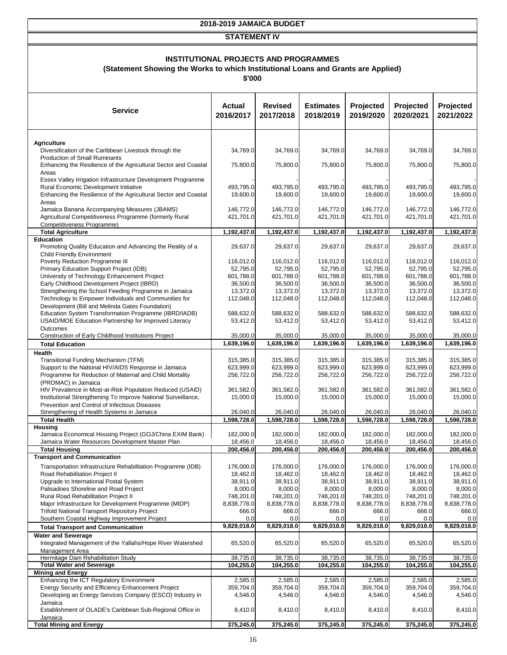#### **STATEMENT IV**

## **INSTITUTIONAL PROJECTS AND PROGRAMMES**

**(Statement Showing the Works to which Institutional Loans and Grants are Applied)**

**\$'000**

| <b>Service</b>                                                                                                 | Actual<br>2016/2017     | <b>Revised</b><br>2017/2018 | <b>Estimates</b><br>2018/2019 | Projected<br>2019/2020  | Projected<br>2020/2021  | Projected<br>2021/2022  |
|----------------------------------------------------------------------------------------------------------------|-------------------------|-----------------------------|-------------------------------|-------------------------|-------------------------|-------------------------|
| <b>Agriculture</b>                                                                                             |                         |                             |                               |                         |                         |                         |
| Diversification of the Caribbean Livestock through the                                                         | 34,769.0                | 34,769.0                    | 34,769.0                      | 34,769.0                | 34,769.0                | 34,769.0                |
| <b>Production of Small Ruminants</b>                                                                           |                         |                             |                               |                         |                         |                         |
| Enhancing the Resilience of the Agricultural Sector and Coastal<br>Areas                                       | 75,800.0                | 75,800.0                    | 75,800.0                      | 75,800.0                | 75,800.0                | 75,800.0                |
| Essex Valley Irrigation Infrastructure Development Programme                                                   |                         |                             |                               |                         |                         |                         |
| Rural Economic Development Initiative<br>Enhancing the Resilience of the Agricultural Sector and Coastal       | 493,795.0<br>19,600.0   | 493,795.0<br>19,600.0       | 493.795.0<br>19,600.0         | 493.795.0<br>19,600.0   | 493.795.0<br>19,600.0   | 493,795.0<br>19,600.0   |
| Areas                                                                                                          |                         |                             |                               |                         |                         |                         |
| Jamaica Banana Accompanying Measures (JBAMS)                                                                   | 146,772.0               | 146,772.0                   | 146,772.0                     | 146,772.0               | 146,772.0               | 146,772.0               |
| Agricultural Competitiveness Programme (formerly Rural<br>Competitiveness Programme)                           | 421,701.0               | 421,701.0                   | 421,701.0                     | 421,701.0               | 421,701.0               | 421,701.0               |
| <b>Total Agriculture</b>                                                                                       | 1,192,437.0             | 1,192,437.0                 | 1,192,437.0                   | 1,192,437.0             | 1,192,437.0             | 1,192,437.0             |
| <b>Education</b>                                                                                               |                         |                             |                               |                         |                         | 29,637.0                |
| Promoting Quality Education and Advancing the Reality of a<br><b>Child Friendly Environment</b>                | 29,637.0                | 29,637.0                    | 29,637.0                      | 29,637.0                | 29,637.0                |                         |
| Poverty Reduction Programme III                                                                                | 116,012.0               | 116,012.0                   | 116,012.0                     | 116,012.0               | 116,012.0               | 116,012.0               |
| Primary Education Support Project (IDB)                                                                        | 52,795.0                | 52,795.0                    | 52,795.0                      | 52,795.0                | 52.795.0                | 52,795.0                |
| University of Technology Enhancement Project<br>Early Childhood Development Project (IBRD)                     | 601.788.0<br>36,500.0   | 601,788.0<br>36,500.0       | 601,788.0<br>36,500.0         | 601,788.0<br>36,500.0   | 601,788.0<br>36,500.0   | 601,788.0<br>36,500.0   |
| Strengthening the School Feeding Programme in Jamaica                                                          | 13,372.0                | 13,372.0                    | 13,372.0                      | 13,372.0                | 13,372.0                | 13,372.0                |
| Technology to Empower Individuals and Communities for                                                          | 112,048.0               | 112,048.0                   | 112,048.0                     | 112,048.0               | 112,048.0               | 112,048.0               |
| Development (Bill and Melinda Gates Foundation)<br>Education System Transformation Programme (IBRD/IADB)       | 588.632.0               | 588,632.0                   | 588,632.0                     | 588,632.0               | 588,632.0               | 588.632.0               |
| USAID/MOE Education Partnership for Improved Literacy                                                          | 53,412.0                | 53,412.0                    | 53,412.0                      | 53,412.0                | 53,412.0                | 53,412.0                |
| Outcomes                                                                                                       |                         |                             |                               |                         |                         |                         |
| Construction of Early Childhood Institutions Project                                                           | 35,000.0                | 35,000.0                    | 35,000.0                      | 35,000.0                | 35,000.0                | 35,000.0                |
| <b>Total Education</b>                                                                                         | 1,639,196.0             | 1,639,196.0                 | 1,639,196.0                   | 1,639,196.0             | 1,639,196.0             | 1,639,196.0             |
| Health<br>Transitional Funding Mechanism (TFM)                                                                 | 315,385.0               | 315,385.0                   | 315,385.0                     | 315,385.0               | 315,385.0               | 315,385.0               |
| Support to the National HIV/AIDS Response in Jamaica                                                           | 623,999.0               | 623,999.0                   | 623,999.0                     | 623,999.0               | 623,999.0               | 623,999.0               |
| Programme for Reduction of Maternal and Child Mortality                                                        | 256,722.0               | 256,722.0                   | 256,722.0                     | 256,722.0               | 256,722.0               | 256,722.0               |
| (PROMAC) in Jamaica<br>HIV Prevalence in Most-at-Risk Population Reduced (USAID)                               | 361,582.0               | 361,582.0                   | 361,582.0                     | 361,582.0               | 361,582.0               | 361,582.0               |
| Institutional Strengthening To Improve National Surveillance,                                                  | 15,000.0                | 15,000.0                    | 15,000.0                      | 15,000.0                | 15,000.0                | 15,000.0                |
| Prevention and Control of Infectious Diseases                                                                  |                         |                             |                               |                         |                         |                         |
| Strengthening of Health Systems in Jamaica<br><b>Total Health</b>                                              | 26,040.0<br>1,598,728.0 | 26,040.0<br>1,598,728.0     | 26,040.0<br>1,598,728.0       | 26,040.0<br>1,598,728.0 | 26,040.0<br>1,598,728.0 | 26,040.0<br>1,598,728.0 |
| Housing                                                                                                        |                         |                             |                               |                         |                         |                         |
| Jamaica Economical Housing Project (GOJ/China EXIM Bank)                                                       | 182,000.0               | 182,000.0                   | 182,000.0                     | 182,000.0               | 182,000.0               | 182,000.0               |
| Jamaica Water Resources Development Master Plan<br><b>Total Housing</b>                                        | 18,456.0<br>200,456.0   | 18,456.0<br>200,456.0       | 18,456.0<br>200,456.0         | 18,456.0<br>200,456.0   | 18,456.0<br>200,456.0   | 18,456.0<br>200,456.0   |
| Transport and Communication                                                                                    |                         |                             |                               |                         |                         |                         |
| Transportation Infrastructure Rehabilitation Programme (IDB)                                                   | 176,000.0               | 176,000.0                   | 176,000.0                     | 176,000.0               | 176,000.0               | 176,000.0               |
| Road Rehabilitation Project II                                                                                 | 18,462.0                | 18,462.0                    | 18,462.0                      | 18,462.0                | 18,462.0                | 18,462.0                |
| Upgrade to International Postal System                                                                         | 38,911.0                | 38,911.0                    | 38,911.0                      | 38,911.0                | 38,911.0                | 38,911.0                |
| Palisadoes Shoreline and Road Project<br>Rural Road Rehabilitation Project II                                  | 8,000.0<br>748,201.0    | 8,000.0<br>748,201.0        | 8,000.0<br>748,201.0          | 8,000.0<br>748,201.0    | 8,000.0<br>748,201.0    | 8,000.0<br>748,201.0    |
| Major Infrastructure for Development Programme (MIDP)                                                          | 8,838,778.0             | 8,838,778.0                 | 8,838,778.0                   | 8,838,778.0             | 8,838,778.0             | 8,838,778.0             |
| <b>Trifold National Transport Repository Project</b>                                                           | 666.0                   | 666.0                       | 666.0                         | 666.0                   | 666.0                   | 666.0                   |
| Southern Coastal Highway Improvement Project                                                                   | 0.0<br>9,829,018.0      | 0.0<br>9,829,018.0          | 0.0<br>9,829,018.0            | 0.0<br>9,829,018.0      | 0.0<br>9,829,018.0      | 0.0<br>9,829,018.0      |
| <b>Total Transport and Communication</b><br><b>Water and Sewerage</b>                                          |                         |                             |                               |                         |                         |                         |
| Integrated Management of the Yallahs/Hope River Watershed                                                      | 65,520.0                | 65,520.0                    | 65,520.0                      | 65,520.0                | 65,520.0                | 65,520.0                |
| Management Area                                                                                                |                         |                             |                               |                         |                         |                         |
| Hermitage Dam Rehabilitation Study<br><b>Total Water and Sewerage</b>                                          | 38,735.0<br>104,255.0   | 38,735.0<br>104,255.0       | 38,735.0<br>104,255.0         | 38,735.0<br>104,255.0   | 38,735.0<br>104,255.0   | 38,735.0<br>104,255.0   |
| <b>Mining and Energy</b>                                                                                       |                         |                             |                               |                         |                         |                         |
| Enhancing the ICT Regulatory Environment                                                                       | 2,585.0                 | 2,585.0                     | 2,585.0                       | 2,585.0                 | 2,585.0                 | 2,585.0                 |
| Energy Security and Efficiency Enhancement Project<br>Developing an Energy Services Company (ESCO) Industry in | 359,704.0<br>4,546.0    | 359,704.0<br>4,546.0        | 359,704.0<br>4,546.0          | 359,704.0<br>4,546.0    | 359,704.0<br>4,546.0    | 359,704.0<br>4,546.0    |
| Jamaica                                                                                                        |                         |                             |                               |                         |                         |                         |
| Establishment of OLADE's Caribbean Sub-Regional Office in                                                      | 8,410.0                 | 8,410.0                     | 8,410.0                       | 8,410.0                 | 8,410.0                 | 8,410.0                 |
| Jamaica<br><b>Total Mining and Energy</b>                                                                      | 375,245.0               | 375,245.0                   | 375,245.0                     | 375,245.0               | 375,245.0               | 375,245.0               |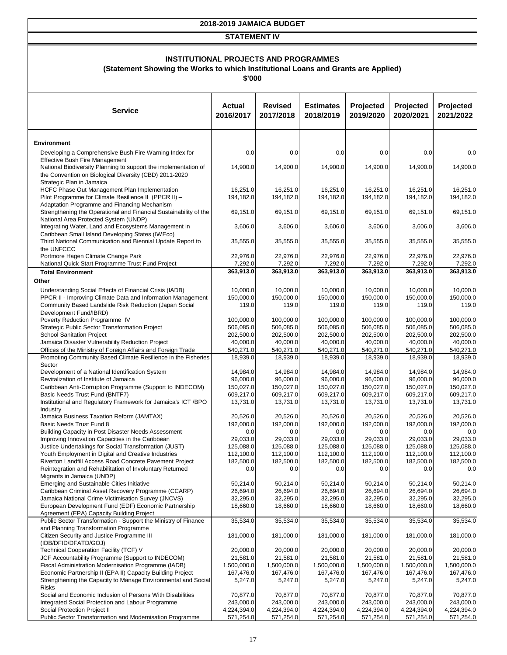#### **STATEMENT IV**

## **INSTITUTIONAL PROJECTS AND PROGRAMMES**

**(Statement Showing the Works to which Institutional Loans and Grants are Applied)**

**\$'000**

| <b>Service</b>                                                                                                                                         | <b>Actual</b><br>2016/2017 | <b>Revised</b><br>2017/2018 | <b>Estimates</b><br>2018/2019 | Projected<br>2019/2020   | Projected<br>2020/2021   | Projected<br>2021/2022   |
|--------------------------------------------------------------------------------------------------------------------------------------------------------|----------------------------|-----------------------------|-------------------------------|--------------------------|--------------------------|--------------------------|
| <b>Environment</b>                                                                                                                                     |                            |                             |                               |                          |                          |                          |
| Developing a Comprehensive Bush Fire Warning Index for                                                                                                 | 0.0                        | 0.0                         | 0.0                           | 0.0                      | 0.0                      | 0.0                      |
| <b>Effective Bush Fire Management</b>                                                                                                                  |                            |                             |                               |                          |                          |                          |
| National Biodiversity Planning to support the implementation of<br>the Convention on Biological Diversity (CBD) 2011-2020<br>Strategic Plan in Jamaica | 14,900.0                   | 14,900.0                    | 14,900.0                      | 14,900.0                 | 14,900.0                 | 14,900.0                 |
| HCFC Phase Out Management Plan Implementation                                                                                                          | 16,251.0                   | 16,251.0                    | 16,251.0                      | 16,251.0                 | 16,251.0                 | 16,251.0                 |
| Pilot Programme for Climate Resilience II (PPCR II) -<br>Adaptation Programme and Financing Mechanism                                                  | 194,182.0                  | 194,182.0                   | 194,182.0                     | 194,182.0                | 194,182.0                | 194,182.0                |
| Strengthening the Operational and Financial Sustainability of the                                                                                      | 69,151.0                   | 69,151.0                    | 69,151.0                      | 69,151.0                 | 69,151.0                 | 69,151.0                 |
| National Area Protected System (UNDP)<br>Integrating Water, Land and Ecosystems Management in                                                          | 3,606.0                    | 3,606.0                     | 3,606.0                       | 3,606.0                  | 3,606.0                  | 3,606.0                  |
| Caribbean Small Island Developing States (IWEco)                                                                                                       |                            |                             |                               |                          |                          |                          |
| Third National Communication and Biennial Update Report to<br>the UNFCCC                                                                               | 35,555.0                   | 35,555.0                    | 35,555.0                      | 35,555.0                 | 35,555.0                 | 35,555.0                 |
| Portmore Hagen Climate Change Park                                                                                                                     | 22.976.0                   | 22,976.0                    | 22,976.0                      | 22,976.0                 | 22,976.0                 | 22,976.0                 |
| National Quick Start Programme Trust Fund Project                                                                                                      | 7,292.0                    | 7,292.0                     | 7,292.0                       | 7,292.0                  | 7,292.0<br>363,913.0     | 7,292.0                  |
| <b>Total Environment</b><br>Other                                                                                                                      | 363,913.0                  | 363,913.0                   | 363,913.0                     | 363,913.0                |                          | 363,913.0                |
| Understanding Social Effects of Financial Crisis (IADB)                                                                                                | 10,000.0                   | 10,000.0                    | 10,000.0                      | 10,000.0                 | 10,000.0                 | 10,000.0                 |
| PPCR II - Improving Climate Data and Information Management                                                                                            | 150,000.0                  | 150,000.0                   | 150,000.0                     | 150,000.0                | 150,000.0                | 150,000.0                |
| Community Based Landslide Risk Reduction (Japan Social                                                                                                 | 119.0                      | 119.0                       | 119.0                         | 119.0                    | 119.0                    | 119.0                    |
| Development Fund/IBRD)<br>Poverty Reduction Programme IV                                                                                               |                            | 100,000.0                   | 100,000.0                     | 100,000.0                |                          | 100.000.0                |
| Strategic Public Sector Transformation Project                                                                                                         | 100,000.0<br>506,085.0     | 506,085.0                   | 506,085.0                     | 506,085.0                | 100,000.0<br>506,085.0   | 506,085.0                |
| <b>School Sanitation Project</b>                                                                                                                       | 202,500.0                  | 202,500.0                   | 202,500.0                     | 202,500.0                | 202,500.0                | 202,500.0                |
| Jamaica Disaster Vulnerability Reduction Project                                                                                                       | 40,000.0                   | 40,000.0                    | 40,000.0                      | 40,000.0                 | 40,000.0                 | 40,000.0                 |
| Offices of the Ministry of Foreign Affairs and Foreign Trade                                                                                           | 540,271.0                  | 540,271.0                   | 540,271.0                     | 540,271.0                | 540,271.0                | 540,271.0                |
| Promoting Community Based Climate Resilience in the Fisheries<br>Sector                                                                                | 18,939.0                   | 18,939.0                    | 18,939.0                      | 18,939.0                 | 18,939.0                 | 18,939.0                 |
| Development of a National Identification System                                                                                                        | 14,984.0                   | 14,984.0                    | 14,984.0                      | 14,984.0                 | 14,984.0                 | 14,984.0                 |
| Revitalization of Institute of Jamaica                                                                                                                 | 96,000.0                   | 96,000.0                    | 96,000.0                      | 96,000.0                 | 96,000.0                 | 96,000.0                 |
| Caribbean Anti-Corruption Programme (Support to INDECOM)                                                                                               | 150,027.0                  | 150,027.0                   | 150,027.0                     | 150,027.0                | 150,027.0                | 150,027.0                |
| Basic Needs Trust Fund (BNTF7)<br>Institutional and Regulatory Framework for Jamaica's ICT /BPO                                                        | 609,217.0<br>13,731.0      | 609,217.0<br>13,731.0       | 609,217.0<br>13,731.0         | 609,217.0<br>13,731.0    | 609,217.0<br>13,731.0    | 609,217.0<br>13,731.0    |
| Industry                                                                                                                                               |                            |                             |                               |                          |                          |                          |
| Jamaica Business Taxation Reform (JAMTAX)                                                                                                              | 20,526.0                   | 20,526.0                    | 20,526.0                      | 20,526.0                 | 20,526.0                 | 20,526.0                 |
| Basic Needs Trust Fund 8<br>Building Capacity in Post Disaster Needs Assessment                                                                        | 192,000.0                  | 192,000.0                   | 192,000.0<br>0.0              | 192,000.0<br>0.0         | 192,000.0                | 192,000.0<br>0.0         |
| Improving Innovation Capacities in the Caribbean                                                                                                       | 0.0<br>29,033.0            | 0.0<br>29,033.0             | 29,033.0                      | 29,033.0                 | 0.0<br>29,033.0          | 29,033.0                 |
| Justice Undertakings for Social Transformation (JUST)                                                                                                  | 125,088.0                  | 125,088.0                   | 125,088.0                     | 125,088.0                | 125,088.0                | 125,088.0                |
| Youth Employment in Digital and Creative Industries                                                                                                    | 112,100.0                  | 112,100.0                   | 112,100.0                     | 112,100.0                | 112,100.0                | 112,100.0                |
| Riverton Landfill Access Road Concrete Pavement Project                                                                                                | 182,500.0                  | 182,500.0                   | 182,500.0                     | 182,500.0                | 182,500.0                | 182,500.0                |
| Reintegration and Rehabilitation of Involuntary Returned<br>Migrants in Jamaica (UNDP)                                                                 | 0.0                        | 0.0                         | 0.0                           | 0.0                      | 0.0                      | 0.0                      |
| Emerging and Sustainable Cities Initiative                                                                                                             | 50,214.0                   | 50,214.0                    | 50,214.0                      | 50,214.0                 | 50,214.0                 | 50,214.0                 |
| Caribbean Criminal Asset Recovery Programme (CCARP)                                                                                                    | 26,694.0                   | 26,694.0                    | 26,694.0                      | 26,694.0                 | 26,694.0                 | 26,694.0                 |
| Jamaica National Crime Victimisation Survey (JNCVS)                                                                                                    | 32,295.0                   | 32,295.0                    | 32,295.0                      | 32,295.0                 | 32,295.0                 | 32,295.0                 |
| European Development Fund (EDF) Economic Partnership<br>Agreement (EPA) Capacity Building Project                                                      | 18,660.0                   | 18,660.0                    | 18,660.0                      | 18,660.0                 | 18,660.0                 | 18,660.0                 |
| Public Sector Transformation - Support the Ministry of Finance                                                                                         | 35,534.0                   | 35,534.0                    | 35,534.0                      | 35,534.0                 | 35,534.0                 | 35,534.0                 |
| and Planning Transformation Programme                                                                                                                  |                            |                             |                               |                          |                          |                          |
| Citizen Security and Justice Programme III<br>(IDB/DFID/DFATD/GOJ)                                                                                     | 181,000.0                  | 181,000.0                   | 181,000.0                     | 181,000.0                | 181,000.0                | 181,000.0                |
| Technical Cooperation Facility (TCF) V                                                                                                                 | 20,000.0                   | 20,000.0                    | 20,000.0                      | 20,000.0                 | 20,000.0                 | 20,000.0                 |
| JCF Accountability Programme (Support to INDECOM)                                                                                                      | 21,581.0                   | 21,581.0                    | 21,581.0                      | 21,581.0                 | 21,581.0                 | 21,581.0                 |
| Fiscal Administration Modernisation Programme (IADB)                                                                                                   | 1,500,000.0                | 1,500,000.0                 | 1,500,000.0                   | 1,500,000.0              | 1,500,000.0              | 1,500,000.0              |
| Economic Partnership II (EPA II) Capacity Building Project<br>Strengthening the Capacity to Manage Environmental and Social                            | 167,476.0<br>5,247.0       | 167,476.0<br>5,247.0        | 167,476.0<br>5,247.0          | 167,476.0<br>5,247.0     | 167,476.0<br>5,247.0     | 167,476.0<br>5,247.0     |
| <b>Risks</b>                                                                                                                                           |                            |                             |                               |                          |                          |                          |
| Social and Economic Inclusion of Persons With Disabilities                                                                                             | 70,877.0                   | 70,877.0                    | 70,877.0                      | 70,877.0                 | 70,877.0                 | 70,877.0                 |
| Integrated Social Protection and Labour Programme                                                                                                      | 243,000.0                  | 243,000.0                   | 243,000.0                     | 243,000.0                | 243,000.0                | 243,000.0                |
| Social Protection Project II<br>Public Sector Transformation and Modernisation Programme                                                               | 4,224,394.0<br>571,254.0   | 4,224,394.0<br>571,254.0    | 4,224,394.0<br>571,254.0      | 4,224,394.0<br>571,254.0 | 4,224,394.0<br>571,254.0 | 4,224,394.0<br>571,254.0 |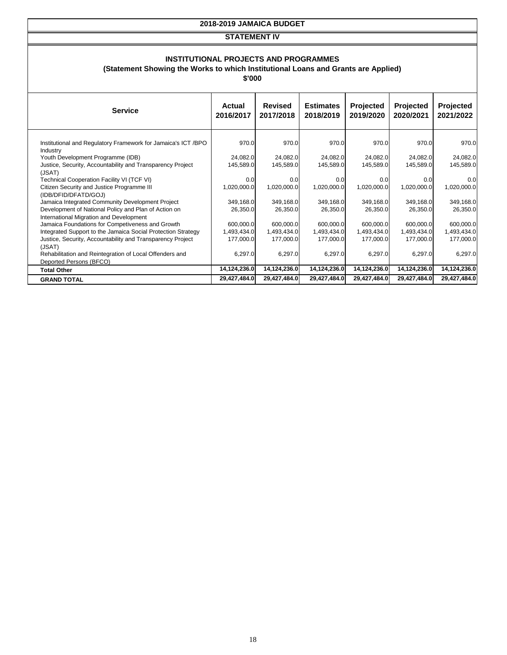#### **STATEMENT IV**

#### **INSTITUTIONAL PROJECTS AND PROGRAMMES**

**(Statement Showing the Works to which Institutional Loans and Grants are Applied)**

**\$'000**

| <b>Service</b>                                                                                  | Actual<br>2016/2017 | <b>Revised</b><br>2017/2018 | <b>Estimates</b><br>2018/2019 | <b>Projected</b><br>2019/2020 | Projected<br>2020/2021 | Projected<br>2021/2022 |
|-------------------------------------------------------------------------------------------------|---------------------|-----------------------------|-------------------------------|-------------------------------|------------------------|------------------------|
| Institutional and Regulatory Framework for Jamaica's ICT /BPO<br>Industry                       | 970.0               | 970.0                       | 970.0                         | 970.0                         | 970.0                  | 970.0                  |
| Youth Development Programme (IDB)                                                               | 24,082.0            | 24,082.0                    | 24,082.0                      | 24,082.0                      | 24,082.0               | 24,082.0               |
| Justice, Security, Accountability and Transparency Project                                      | 145,589.0           | 145,589.0                   | 145,589.0                     | 145,589.0                     | 145,589.0              | 145,589.0              |
| (JSAT)                                                                                          |                     |                             |                               |                               |                        |                        |
| Technical Cooperation Facility VI (TCF VI)                                                      | 0.0                 | 0.0                         | 0.0                           | 0.0                           | 0.0                    | 0.0                    |
| Citizen Security and Justice Programme III<br>(IDB/DFID/DFATD/GOJ)                              | 1,020,000.0         | 1,020,000.0                 | 1,020,000.0                   | 1,020,000.0                   | 1,020,000.0            | 1,020,000.0            |
| Jamaica Integrated Community Development Project                                                | 349,168.0           | 349,168.0                   | 349,168.0                     | 349,168.0                     | 349,168.0              | 349,168.0              |
| Development of National Policy and Plan of Action on<br>International Migration and Development | 26,350.0            | 26,350.0                    | 26,350.0                      | 26,350.0                      | 26,350.0               | 26,350.0               |
| Jamaica Foundations for Competiveness and Growth                                                | 600,000.0           | 600,000.0                   | 600,000.0                     | 600,000.0                     | 600,000.0              | 600,000.0              |
| Integrated Support to the Jamaica Social Protection Strategy                                    | 1,493,434.0         | 1,493,434.0                 | 1,493,434.0                   | 1,493,434.0                   | 1,493,434.0            | 1,493,434.0            |
| Justice, Security, Accountability and Transparency Project                                      | 177,000.0           | 177,000.0                   | 177,000.0                     | 177,000.0                     | 177,000.0              | 177,000.0              |
| (JSAT)                                                                                          |                     |                             |                               |                               |                        |                        |
| Rehabilitation and Reintegration of Local Offenders and<br>Deported Persons (BFCO)              | 6,297.0             | 6,297.0                     | 6,297.0                       | 6,297.0                       | 6,297.0                | 6,297.0                |
| <b>Total Other</b>                                                                              | 14,124,236.0        | 14,124,236.0                | 14,124,236.0                  | 14,124,236.0                  | 14,124,236.0           | 14,124,236.0           |
| <b>GRAND TOTAL</b>                                                                              | 29,427,484.0        | 29,427,484.0                | 29,427,484.0                  | 29,427,484.0                  | 29,427,484.0           | 29,427,484.0           |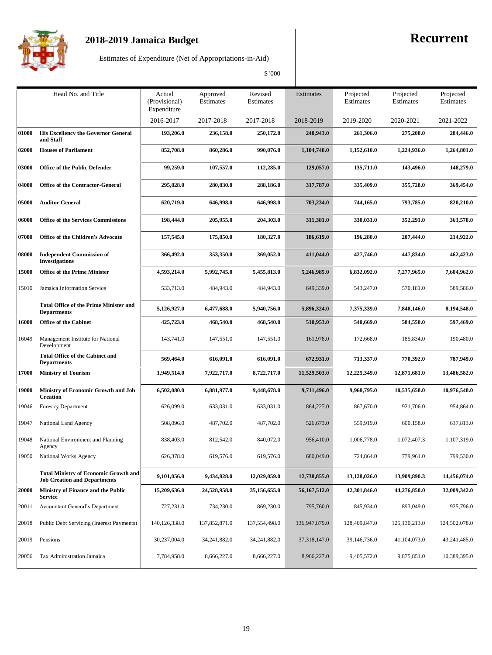

Estimates of Expenditure (Net of Appropriations-in-Aid)

|       | Head No. and Title                                                                  | Actual<br>(Provisional)<br>Expenditure | Approved<br>Estimates | Revised<br>Estimates | Estimates      | Projected<br>Estimates | Projected<br>Estimates | Projected<br>Estimates |
|-------|-------------------------------------------------------------------------------------|----------------------------------------|-----------------------|----------------------|----------------|------------------------|------------------------|------------------------|
|       |                                                                                     | 2016-2017                              | 2017-2018             | 2017-2018            | 2018-2019      | 2019-2020              | 2020-2021              | 2021-2022              |
| 01000 | <b>His Excellency the Governor General</b><br>and Staff                             | 193,206.0                              | 236,158.0             | 250,172.0            | 248,943.0      | 261,306.0              | 275,208.0              | 284,446.0              |
| 02000 | <b>Houses of Parliament</b>                                                         | 852,708.0                              | 860,286.0             | 990,076.0            | 1,104,748.0    | 1,152,610.0            | 1,224,936.0            | 1,264,801.0            |
| 03000 | <b>Office of the Public Defender</b>                                                | 99,259.0                               | 107,557.0             | 112,285.0            | 129,057.0      | 135,711.0              | 143,496.0              |                        |
| 04000 | <b>Office of the Contractor-General</b>                                             | 295,828.0                              | 280,830.0             | 288,186.0            | 317,787.0      | 335,409.0              | 355,728.0              | 369,454.0              |
| 05000 | <b>Auditor General</b>                                                              | 620,719.0                              | 646,998.0             | 646,998.0            | 703,234.0      | 744,165.0              | 793,785.0              | 820,210.0              |
| 06000 | <b>Office of the Services Commissions</b>                                           | 198,444.0                              | 205,955.0             | 204,303.0            | 311,381.0      | 330,031.0              | 352,291.0              | 363,578.0              |
| 07000 | <b>Office of the Children's Advocate</b>                                            | 157,545.0                              | 175,850.0             | 180,327.0            | 186,619.0      | 196,280.0              | 207,444.0              | 214,922.0              |
| 08000 | <b>Independent Commission of</b><br><b>Investigations</b>                           | 366,492.0                              | 353,350.0             | 369,052.0            | 411,044.0      | 427,746.0              | 447,834.0              | 462,423.0              |
| 15000 | <b>Office of the Prime Minister</b>                                                 | 4,593,214.0                            | 5,992,745.0           | 5,455,813.0          | 5,246,985.0    | 6,832,092.0            | 7,277,965.0            | 7,604,962.0            |
| 15010 | Jamaica Information Service                                                         | 533,713.0                              | 484,943.0             | 484,943.0            | 649,339.0      | 543,247.0              | 570,181.0              | 589,586.0              |
|       | <b>Total Office of the Prime Minister and</b><br><b>Departments</b>                 | 5,126,927.0                            | 6,477,688.0           | 5,940,756.0          | 5,896,324.0    | 7,375,339.0            | 7,848,146.0            | 8,194,548.0            |
| 16000 | <b>Office of the Cabinet</b>                                                        | 425,723.0                              | 468,540.0             | 468,540.0            | 510,953.0      | 540,669.0              | 584,558.0              | 597,469.0              |
| 16049 | Management Institute for National<br>Development                                    | 143,741.0                              | 147,551.0             | 147,551.0            | 161,978.0      | 172,668.0              | 185,834.0              | 190,480.0              |
|       | <b>Total Office of the Cabinet and</b><br><b>Departments</b>                        | 569,464.0                              | 616,091.0             | 616,091.0            | 672,931.0      | 713,337.0              | 770,392.0              | 787,949.0              |
| 17000 | <b>Ministry of Tourism</b>                                                          | 1,949,514.0                            | 7,922,717.0           | 8,722,717.0          | 11,529,503.0   | 12,225,349.0           | 12,871,681.0           | 13,486,582.0           |
| 19000 | <b>Ministry of Economic Growth and Job</b><br><b>Creation</b>                       | 6,502,080.0                            | 6,881,977.0           | 9,448,678.0          | 9,711,496.0    | 9,968,795.0            | 10,535,658.0           | 10,976,548.0           |
| 19046 | Forestry Department                                                                 | 626,099.0                              | 633,031.0             | 633,031.0            | 864,227.0      | 867,670.0              | 921,706.0              | 954,864.0              |
| 19047 | National Land Agency                                                                | 508,096.0                              | 487,702.0             | 487,702.0            | 526,673.0      | 559,919.0              | 600,158.0              | 617,813.0              |
| 19048 | National Environment and Planning<br>Agency                                         | 838,403.0                              | 812,542.0             | 840,072.0            | 956,410.0      | 1,006,778.0            | 1,072,407.3            | 1,107,319.0            |
| 19050 | National Works Agency                                                               | 626,378.0                              | 619,576.0             | 619,576.0            | 680,049.0      | 724,864.0              | 779,961.0              | 799,530.0              |
|       | <b>Total Ministry of Economic Growth and</b><br><b>Job Creation and Departments</b> | 9,101,056.0                            | 9,434,828.0           | 12,029,059.0         | 12,738,855.0   | 13,128,026.0           | 13,909,890.3           | 14,456,074.0           |
| 20000 | Ministry of Finance and the Public<br><b>Service</b>                                | 15,209,636.0                           | 24,528,958.0          | 35,156,655.0         | 56,167,512.0   | 42,301,846.0           | 44,276,850.0           | 32,009,342.0           |
| 20011 | Accountant General's Department                                                     | 727,231.0                              | 734,230.0             | 869,230.0            | 795,760.0      | 845,934.0              | 893,049.0              | 925,796.0              |
| 20018 | Public Debt Servicing (Interest Payments)                                           | 140, 126, 338.0                        | 137,852,871.0         | 137,554,498.0        | 136,947,879.0  | 128,409,847.0          | 125, 130, 213.0        | 124,502,078.0          |
| 20019 | Pensions                                                                            | 30,237,004.0                           | 34,241,882.0          | 34,241,882.0         | 37, 318, 147.0 | 39,146,736.0           | 41,104,073.0           | 43,241,485.0           |
|       | 20056 Tax Administration Jamaica                                                    | 7,784,958.0                            | 8,666,227.0           | 8,666,227.0          | 8,966,227.0    | 9,405,572.0            | 9,875,851.0            | 10,389,395.0           |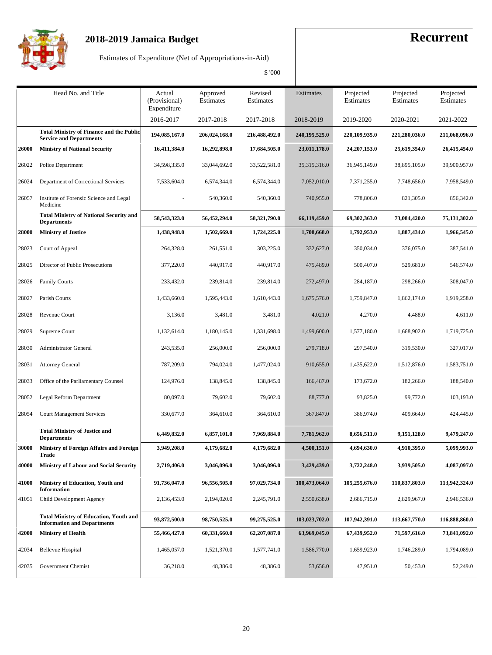

Estimates of Expenditure (Net of Appropriations-in-Aid)

|       |                                                                                     |                                        |                       | \$ '000              |                 |                            |                        |                        |
|-------|-------------------------------------------------------------------------------------|----------------------------------------|-----------------------|----------------------|-----------------|----------------------------|------------------------|------------------------|
|       | Head No. and Title                                                                  | Actual<br>(Provisional)<br>Expenditure | Approved<br>Estimates | Revised<br>Estimates | Estimates       | Projected<br>Estimates     | Projected<br>Estimates | Projected<br>Estimates |
|       |                                                                                     | 2016-2017                              | 2017-2018             | 2017-2018            | 2018-2019       | 2019-2020                  | 2020-2021              | 2021-2022              |
|       | <b>Total Ministry of Finance and the Public</b><br><b>Service and Departments</b>   | 194,085,167.0                          | 206,024,168.0         | 216,488,492.0        | 240, 195, 525.0 | 220,109,935.0              | 221,280,036.0          | 211,068,096.0          |
| 26000 | <b>Ministry of National Security</b>                                                | 16,411,384.0                           | 16,292,898.0          | 17,684,505.0         | 23,011,178.0    | 24, 207, 153.0             | 25,619,354.0           | 26,415,454.0           |
| 26022 | Police Department                                                                   | 34,598,335.0                           | 33,044,692.0          | 33,522,581.0         | 35, 315, 316.0  | 36,945,149.0               | 38,895,105.0           | 39,900,957.0           |
| 26024 | Department of Correctional Services                                                 | 7,533,604.0                            | 6,574,344.0           | 6,574,344.0          | 7,052,010.0     | 7,371,255.0                | 7,748,656.0            | 7,958,549.0            |
| 26057 | Institute of Forensic Science and Legal<br>Medicine                                 |                                        | 540,360.0             | 540,360.0            | 740,955.0       | 778,806.0                  | 821,305.0              | 856,342.0              |
|       | <b>Total Ministry of National Security and</b><br><b>Departments</b>                | 58,543,323.0                           | 56,452,294.0          | 58,321,790.0         | 66,119,459.0    | 69,302,363.0               | 73,084,420.0           | 75,131,302.0           |
| 28000 | <b>Ministry of Justice</b>                                                          | 1,438,948.0                            | 1,502,669.0           | 1,724,225.0          | 1,708,668.0     | 1,792,953.0                | 1,887,434.0            | 1,966,545.0            |
| 28023 | Court of Appeal                                                                     | 264,328.0                              | 261,551.0             | 303,225.0            | 332,627.0       | 350,034.0                  | 376,075.0              | 387,541.0              |
| 28025 | Director of Public Prosecutions                                                     | 377,220.0                              | 440,917.0             | 440,917.0            | 475,489.0       | 500,407.0                  | 529,681.0              | 546,574.0              |
| 28026 | <b>Family Courts</b>                                                                | 233,432.0                              | 239,814.0             | 239,814.0            | 272,497.0       | 284,187.0                  | 298,266.0              | 308,047.0              |
| 28027 | Parish Courts                                                                       | 1,433,660.0                            | 1,595,443.0           | 1,610,443.0          | 1,675,576.0     | 1,759,847.0<br>1,862,174.0 |                        | 1,919,258.0            |
| 28028 | Revenue Court                                                                       | 3,136.0                                | 3,481.0               | 3,481.0              | 4,021.0         | 4,270.0                    | 4,488.0                | 4,611.0                |
| 28029 | Supreme Court                                                                       | 1,132,614.0                            | 1,180,145.0           | 1,331,698.0          | 1,499,600.0     | 1,577,180.0                | 1,668,902.0            | 1,719,725.0            |
| 28030 | <b>Administrator General</b>                                                        | 243,535.0                              | 256,000.0             | 256,000.0            | 279,718.0       | 297,540.0                  | 319,530.0              | 327,017.0              |
| 28031 | <b>Attorney General</b>                                                             | 787,209.0                              | 794,024.0             | 1,477,024.0          | 910,655.0       | 1,435,622.0                | 1,512,876.0            | 1,583,751.0            |
| 28033 | Office of the Parliamentary Counsel                                                 | 124,976.0                              | 138,845.0             | 138,845.0            | 166,487.0       | 173,672.0                  | 182,266.0              | 188,540.0              |
| 28052 | Legal Reform Department                                                             | 80,097.0                               | 79,602.0              | 79,602.0             | 88,777.0        | 93,825.0                   | 99,772.0               | 103,193.0              |
| 28054 | <b>Court Management Services</b>                                                    | 330,677.0                              | 364,610.0             | 364,610.0            | 367,847.0       | 386,974.0                  | 409,664.0              | 424,445.0              |
|       | <b>Total Ministry of Justice and</b><br><b>Departments</b>                          | 6,449,832.0                            | 6,857,101.0           | 7,969,884.0          | 7,781,962.0     | 8,656,511.0                | 9,151,128.0            | 9,479,247.0            |
| 30000 | Ministry of Foreign Affairs and Foreign<br>Trade                                    | 3,949,208.0                            | 4,179,682.0           | 4,179,682.0          | 4,500,151.0     | 4,694,630.0                | 4,910,395.0            | 5,099,993.0            |
| 40000 | <b>Ministry of Labour and Social Security</b>                                       | 2,719,406.0                            | 3,046,096.0           | 3,046,096.0          | 3,429,439.0     | 3,722,248.0                | 3,939,505.0            | 4,087,097.0            |
| 41000 | Ministry of Education, Youth and<br>Information                                     | 91,736,047.0                           | 96,556,505.0          | 97,029,734.0         | 100,473,064.0   | 105,255,676.0              | 110,837,803.0          | 113,942,324.0          |
| 41051 | Child Development Agency                                                            | 2,136,453.0                            | 2,194,020.0           | 2,245,791.0          | 2,550,638.0     | 2,686,715.0                | 2,829,967.0            | 2,946,536.0            |
|       | <b>Total Ministry of Education, Youth and</b><br><b>Information and Departments</b> | 93,872,500.0                           | 98,750,525.0          | 99,275,525.0         | 103,023,702.0   | 107,942,391.0              | 113,667,770.0          | 116,888,860.0          |
| 42000 | <b>Ministry of Health</b>                                                           | 55,466,427.0                           | 60,331,660.0          | 62,207,087.0         | 63,969,045.0    | 67,439,952.0               | 71,597,616.0           | 73,841,092.0           |
| 42034 | Bellevue Hospital                                                                   | 1,465,057.0                            | 1,521,370.0           | 1,577,741.0          | 1,586,770.0     | 1,659,923.0                | 1,746,289.0            | 1,794,089.0            |
| 42035 | Government Chemist                                                                  | 36,218.0                               | 48,386.0              | 48,386.0             | 53,656.0        | 47,951.0                   | 50,453.0               | 52,249.0               |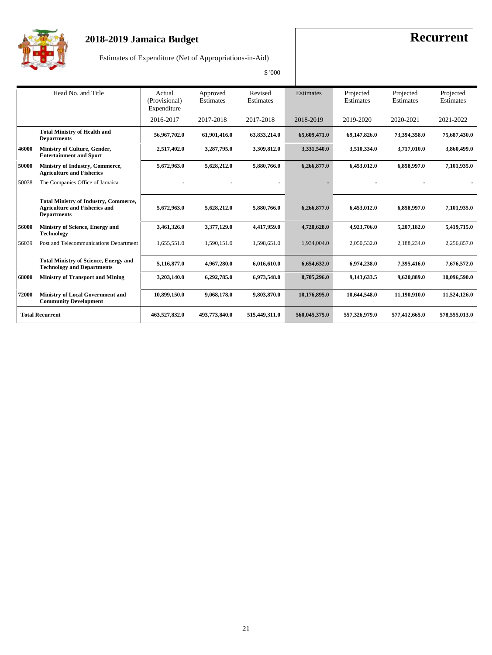

Estimates of Expenditure (Net of Appropriations-in-Aid)

|       |                                                                                                            |                                        |                       | \$ '000              |                  |                        |                        |                        |
|-------|------------------------------------------------------------------------------------------------------------|----------------------------------------|-----------------------|----------------------|------------------|------------------------|------------------------|------------------------|
|       | Head No. and Title                                                                                         | Actual<br>(Provisional)<br>Expenditure | Approved<br>Estimates | Revised<br>Estimates | <b>Estimates</b> | Projected<br>Estimates | Projected<br>Estimates | Projected<br>Estimates |
|       |                                                                                                            | 2016-2017                              | 2017-2018             | 2017-2018            | 2018-2019        | 2019-2020              | 2020-2021              | 2021-2022              |
|       | <b>Total Ministry of Health and</b><br><b>Departments</b>                                                  | 56.967.702.0                           | 61,901,416.0          | 63,833,214.0         | 65,609,471.0     | 69,147,826.0           | 73,394,358.0           | 75,687,430.0           |
| 46000 | Ministry of Culture, Gender,<br><b>Entertainment and Sport</b>                                             | 2,517,402.0                            | 3,287,795.0           | 3,309,812.0          | 3,331,540.0      | 3,510,334.0            | 3,717,010.0            | 3,860,499.0            |
| 50000 | Ministry of Industry, Commerce,<br><b>Agriculture and Fisheries</b>                                        | 5,672,963.0                            | 5,628,212.0           | 5,880,766.0          | 6,266,877.0      | 6,453,012.0            | 6,858,997.0            | 7,101,935.0            |
| 50038 | The Companies Office of Jamaica                                                                            |                                        |                       |                      |                  |                        |                        |                        |
|       | <b>Total Ministry of Industry, Commerce,</b><br><b>Agriculture and Fisheries and</b><br><b>Departments</b> | 5,672,963.0                            | 5,628,212.0           | 5,880,766.0          | 6,266,877.0      | 6,453,012.0            | 6,858,997.0            | 7,101,935.0            |
| 56000 | Ministry of Science, Energy and<br><b>Technology</b>                                                       | 3,461,326.0                            | 3,377,129.0           | 4,417,959.0          | 4,720,628.0      | 4,923,706.0            | 5,207,182.0            | 5,419,715.0            |
| 56039 | Post and Telecommunications Department                                                                     | 1,655,551.0                            | 1,590,151.0           | 1,598,651.0          | 1,934,004.0      | 2,050,532.0            | 2,188,234.0            | 2,256,857.0            |
|       | <b>Total Ministry of Science, Energy and</b><br><b>Technology and Departments</b>                          | 5,116,877.0                            | 4,967,280.0           | 6,016,610.0          | 6,654,632.0      | 6,974,238.0            | 7,395,416.0            | 7,676,572.0            |
| 68000 | <b>Ministry of Transport and Mining</b>                                                                    | 3,203,140.0                            | 6,292,785.0           | 6,973,548.0          | 8,705,296.0      | 9,143,633.5            | 9,620,889.0            | 10,096,590.0           |
| 72000 | <b>Ministry of Local Government and</b><br><b>Community Development</b>                                    | 10,899,150.0                           | 9,068,178.0           | 9,803,870.0          | 10,176,895.0     | 10,644,548.0           | 11,190,910.0           | 11,524,126.0           |
|       | <b>Total Recurrent</b>                                                                                     | 463,527,832.0                          | 493,773,840.0         | 515,449,311.0        | 560,045,375.0    | 557,326,979.0          | 577,412,665.0          | 578,555,013.0          |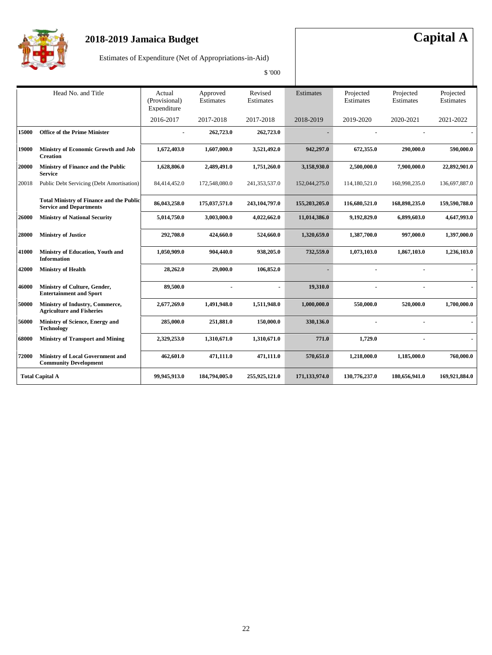

## **2018-2019 Jamaica Budget Capital A**

Estimates of Expenditure (Net of Appropriations-in-Aid)

|       |                                                                                   |                                        |                       | \$ '000              |               |                        |                        |                        |
|-------|-----------------------------------------------------------------------------------|----------------------------------------|-----------------------|----------------------|---------------|------------------------|------------------------|------------------------|
|       | Head No. and Title                                                                | Actual<br>(Provisional)<br>Expenditure | Approved<br>Estimates | Revised<br>Estimates | Estimates     | Projected<br>Estimates | Projected<br>Estimates | Projected<br>Estimates |
|       |                                                                                   | 2016-2017                              | 2017-2018             | 2017-2018            | 2018-2019     | 2019-2020              | 2020-2021              | 2021-2022              |
| 15000 | <b>Office of the Prime Minister</b>                                               |                                        | 262,723.0             | 262,723.0            |               |                        |                        |                        |
| 19000 | Ministry of Economic Growth and Job<br><b>Creation</b>                            | 1,672,403.0                            | 1,607,000.0           | 3,521,492.0          | 942,297.0     | 672,355.0              | 290,000.0              | 590,000.0              |
| 20000 | Ministry of Finance and the Public<br><b>Service</b>                              | 1,628,806.0                            | 2,489,491.0           | 1,751,260.0          | 3,158,930.0   | 2,500,000.0            | 7,900,000.0            | 22,892,901.0           |
| 20018 | Public Debt Servicing (Debt Amortisation)                                         | 84,414,452.0                           | 172,548,080.0         | 241,353,537.0        | 152,044,275.0 | 114,180,521.0          | 160,998,235.0          | 136,697,887.0          |
|       | <b>Total Ministry of Finance and the Public</b><br><b>Service and Departments</b> | 86,043,258.0                           | 175,037,571.0         | 243, 104, 797.0      | 155,203,205.0 | 116,680,521.0          | 168,898,235.0          | 159,590,788.0          |
| 26000 | <b>Ministry of National Security</b>                                              | 5,014,750.0                            | 3,003,000.0           | 4,022,662.0          | 11,014,386.0  | 9,192,829.0            | 6,899,603.0            | 4,647,993.0            |
| 28000 | <b>Ministry of Justice</b>                                                        | 292,708.0                              | 424,660.0             | 524,660.0            | 1,320,659.0   | 1,387,700.0            | 997,000.0              | 1,397,000.0            |
| 41000 | Ministry of Education, Youth and<br><b>Information</b>                            | 1,050,909.0                            | 904,440.0             | 938,205.0            | 732,559.0     | 1,073,103.0            | 1,867,103.0            | 1,236,103.0            |
| 42000 | <b>Ministry of Health</b>                                                         | 28,262.0                               | 29,000.0              | 106,852.0            |               |                        |                        |                        |
| 46000 | Ministry of Culture, Gender,<br><b>Entertainment and Sport</b>                    | 89,500.0                               |                       |                      | 19,310.0      |                        |                        |                        |
| 50000 | Ministry of Industry, Commerce,<br><b>Agriculture and Fisheries</b>               | 2,677,269.0                            | 1,491,948.0           | 1,511,948.0          | 1,000,000.0   | 550,000.0              | 520,000.0              | 1,700,000.0            |
| 56000 | Ministry of Science, Energy and<br><b>Technology</b>                              | 285,000.0                              | 251,881.0             | 150,000.0            | 330,136.0     |                        |                        |                        |
| 68000 | <b>Ministry of Transport and Mining</b>                                           | 2,329,253.0                            | 1,310,671.0           | 1,310,671.0          | 771.0         | 1,729.0                |                        |                        |
| 72000 | <b>Ministry of Local Government and</b><br><b>Community Development</b>           | 462,601.0                              | 471,111.0             | 471,111.0            | 570,651.0     | 1,218,000.0            | 1,185,000.0            | 760,000.0              |
|       | <b>Total Capital A</b>                                                            | 99,945,913.0                           | 184,794,005.0         | 255,925,121.0        | 171,133,974.0 | 130,776,237.0          | 180,656,941.0          | 169,921,884.0          |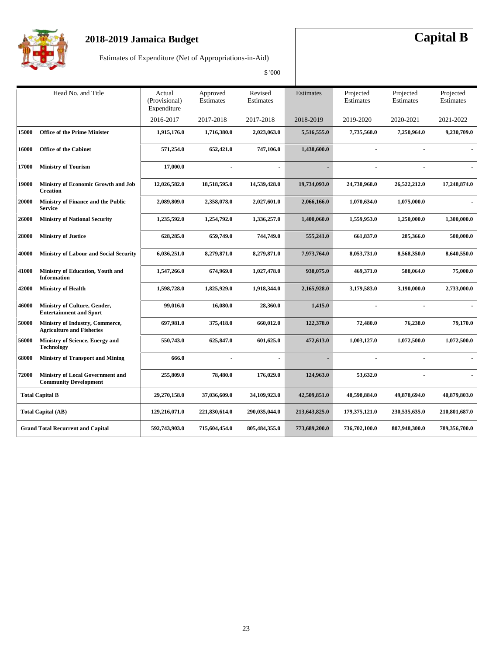

## **2018-2019 Jamaica Budget Capital B**

Estimates of Expenditure (Net of Appropriations-in-Aid)

|              | Head No. and Title                                                      | Actual<br>(Provisional)<br>Expenditure | Approved<br>Estimates | Revised<br>Estimates     | Estimates     | Projected<br>Estimates | Projected<br>Estimates | Projected<br>Estimates |
|--------------|-------------------------------------------------------------------------|----------------------------------------|-----------------------|--------------------------|---------------|------------------------|------------------------|------------------------|
|              |                                                                         | 2016-2017                              | 2017-2018             | 2017-2018                | 2018-2019     | 2019-2020              | 2020-2021              | 2021-2022              |
| 15000        | <b>Office of the Prime Minister</b>                                     | 1,915,176.0                            | 1,716,380.0           | 2,023,063.0              | 5,516,555.0   | 7,735,568.0            | 7,250,964.0            | 9.230.709.0            |
| 16000        | <b>Office of the Cabinet</b>                                            | 571,254.0                              | 652,421.0             | 747,106.0                | 1,438,600.0   | $\overline{a}$         |                        |                        |
| 17000        | <b>Ministry of Tourism</b>                                              | 17,000.0                               |                       | $\overline{\phantom{a}}$ |               |                        |                        |                        |
| 19000        | Ministry of Economic Growth and Job<br><b>Creation</b>                  | 12,026,582.0                           | 18,518,595.0          | 14,539,428.0             | 19,734,093.0  | 24,738,968.0           | 26,522,212.0           | 17,248,874.0           |
| 20000        | Ministry of Finance and the Public<br><b>Service</b>                    | 2,089,809.0                            | 2,358,078.0           | 2,027,601.0              | 2,066,166.0   | 1,070,634.0            | 1,075,000.0            |                        |
| 26000        | <b>Ministry of National Security</b>                                    | 1,235,592.0                            | 1,254,792.0           | 1,336,257.0              | 1,400,060.0   | 1,559,953.0            | 1,250,000.0            | 1,300,000.0            |
| <b>28000</b> | <b>Ministry of Justice</b>                                              | 628,285.0                              | 659,749.0             | 744,749.0                | 555,241.0     | 661,837.0              | 285,366.0              | 500,000.0              |
| 40000        | <b>Ministry of Labour and Social Security</b>                           | 6,036,251.0                            | 8,279,871.0           | 8,279,871.0              | 7,973,764.0   | 8,053,731.0            | 8,568,350.0            | 8,640,550.0            |
| 41000        | Ministry of Education, Youth and<br><b>Information</b>                  | 1,547,266.0                            | 674,969.0             | 1,027,478.0              | 938,075.0     | 469,371.0              | 588,064.0              | 75,000.0               |
| <b>42000</b> | <b>Ministry of Health</b>                                               | 1,598,728.0                            | 1,825,929.0           | 1,918,344.0              | 2,165,928.0   | 3,179,583.0            | 3,190,000.0            | 2,733,000.0            |
| 46000        | Ministry of Culture, Gender,<br><b>Entertainment and Sport</b>          | 99,016.0                               | 16,080.0              | 28,360.0                 | 1,415.0       |                        |                        |                        |
| <b>50000</b> | Ministry of Industry, Commerce,<br><b>Agriculture and Fisheries</b>     | 697,981.0                              | 375,418.0             | 660,012.0                | 122,378.0     | 72,480.0               | 76,238.0               | 79,170.0               |
| 56000        | Ministry of Science, Energy and<br><b>Technology</b>                    | 550,743.0                              | 625,847.0             | 601,625.0                | 472,613.0     | 1,003,127.0            | 1,072,500.0            | 1,072,500.0            |
| 68000        | <b>Ministry of Transport and Mining</b>                                 | 666.0                                  |                       |                          |               |                        |                        |                        |
| 72000        | <b>Ministry of Local Government and</b><br><b>Community Development</b> | 255,809.0                              | 78,480.0              | 176,029.0                | 124,963.0     | 53,632.0               |                        |                        |
|              | <b>Total Capital B</b>                                                  | 29,270,158.0                           | 37,036,609.0          | 34,109,923.0             | 42,509,851.0  | 48,598,884.0           | 49,878,694.0           | 40,879,803.0           |
|              | <b>Total Capital (AB)</b>                                               | 129,216,071.0                          | 221,830,614.0         | 290,035,044.0            | 213,643,825.0 | 179,375,121.0          | 230,535,635.0          | 210,801,687.0          |
|              | <b>Grand Total Recurrent and Capital</b>                                | 592,743,903.0                          | 715,604,454.0         | 805,484,355.0            | 773,689,200.0 | 736,702,100.0          | 807,948,300.0          | 789,356,700.0          |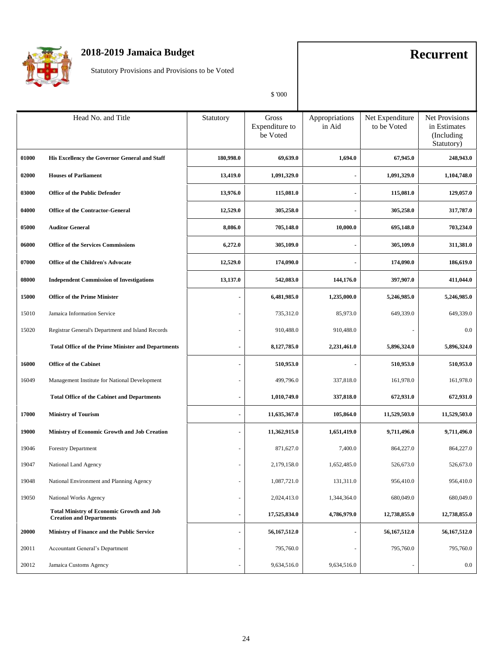

Statutory Provisions and Provisions to be Voted

|       | Head No. and Title                                                                  | Statutory                | Gross<br>Expenditure to<br>be Voted | Appropriations<br>in Aid | Net Expenditure<br>to be Voted | <b>Net Provisions</b><br>in Estimates<br>(Including<br>Statutory) |
|-------|-------------------------------------------------------------------------------------|--------------------------|-------------------------------------|--------------------------|--------------------------------|-------------------------------------------------------------------|
| 01000 | His Excellency the Governor General and Staff                                       | 180,998.0                | 69,639.0                            | 1,694.0                  | 67,945.0                       | 248,943.0                                                         |
| 02000 | <b>Houses of Parliament</b>                                                         | 13,419.0                 | 1,091,329.0                         |                          | 1,091,329.0                    | 1,104,748.0                                                       |
| 03000 | <b>Office of the Public Defender</b>                                                | 13,976.0                 | 115,081.0                           |                          | 115,081.0                      | 129,057.0                                                         |
| 04000 | <b>Office of the Contractor-General</b>                                             | 12,529.0                 | 305,258.0                           |                          | 305,258.0                      | 317,787.0                                                         |
| 05000 | <b>Auditor General</b>                                                              | 8,086.0                  | 705,148.0                           | 10,000.0                 | 695,148.0                      | 703,234.0                                                         |
| 06000 | <b>Office of the Services Commissions</b>                                           | 6,272.0                  | 305,109.0                           |                          | 305,109.0                      | 311,381.0                                                         |
| 07000 | <b>Office of the Children's Advocate</b>                                            | 12,529.0                 | 174,090.0                           |                          | 174,090.0                      | 186,619.0                                                         |
| 08000 | <b>Independent Commission of Investigations</b>                                     | 13,137.0                 | 542,083.0                           | 144,176.0                | 397,907.0                      | 411,044.0                                                         |
| 15000 | <b>Office of the Prime Minister</b>                                                 |                          | 6,481,985.0                         | 1,235,000.0              | 5,246,985.0                    | 5,246,985.0                                                       |
| 15010 | Jamaica Information Service                                                         |                          | 735,312.0                           | 85,973.0                 | 649,339.0                      | 649,339.0                                                         |
| 15020 | Registrar General's Department and Island Records                                   |                          | 910,488.0                           | 910,488.0                | ٠                              | $0.0\,$                                                           |
|       | <b>Total Office of the Prime Minister and Departments</b>                           |                          | 8,127,785.0                         | 2,231,461.0              | 5,896,324.0                    | 5,896,324.0                                                       |
| 16000 | <b>Office of the Cabinet</b>                                                        |                          | 510,953.0                           |                          | 510,953.0                      | 510,953.0                                                         |
| 16049 | Management Institute for National Development                                       |                          | 499,796.0                           | 337,818.0                | 161,978.0                      | 161,978.0                                                         |
|       | <b>Total Office of the Cabinet and Departments</b>                                  | $\blacksquare$           | 1,010,749.0                         | 337,818.0                | 672,931.0                      | 672,931.0                                                         |
| 17000 | <b>Ministry of Tourism</b>                                                          |                          | 11,635,367.0                        | 105,864.0                | 11,529,503.0                   | 11,529,503.0                                                      |
| 19000 | Ministry of Economic Growth and Job Creation                                        |                          | 11,362,915.0                        | 1,651,419.0              | 9,711,496.0                    | 9,711,496.0                                                       |
| 19046 | <b>Forestry Department</b>                                                          |                          | 871,627.0                           | 7,400.0                  | 864,227.0                      | 864,227.0                                                         |
| 19047 | National Land Agency                                                                |                          | 2,179,158.0                         | 1,652,485.0              | 526,673.0                      | 526,673.0                                                         |
| 19048 | National Environment and Planning Agency                                            | $\blacksquare$           | 1,087,721.0                         | 131,311.0                | 956,410.0                      | 956,410.0                                                         |
| 19050 | National Works Agency                                                               |                          | 2,024,413.0                         | 1,344,364.0              | 680,049.0                      | 680,049.0                                                         |
|       | <b>Total Ministry of Economic Growth and Job</b><br><b>Creation and Departments</b> | $\blacksquare$           | 17,525,834.0                        | 4,786,979.0              | 12,738,855.0                   | 12,738,855.0                                                      |
| 20000 | Ministry of Finance and the Public Service                                          | $\blacksquare$           | 56, 167, 512.0                      |                          | 56,167,512.0                   | 56,167,512.0                                                      |
| 20011 | Accountant General's Department                                                     |                          | 795,760.0                           |                          | 795,760.0                      | 795,760.0                                                         |
| 20012 | Jamaica Customs Agency                                                              | $\overline{\phantom{a}}$ | 9,634,516.0                         | 9,634,516.0              | ÷,                             | $0.0\,$                                                           |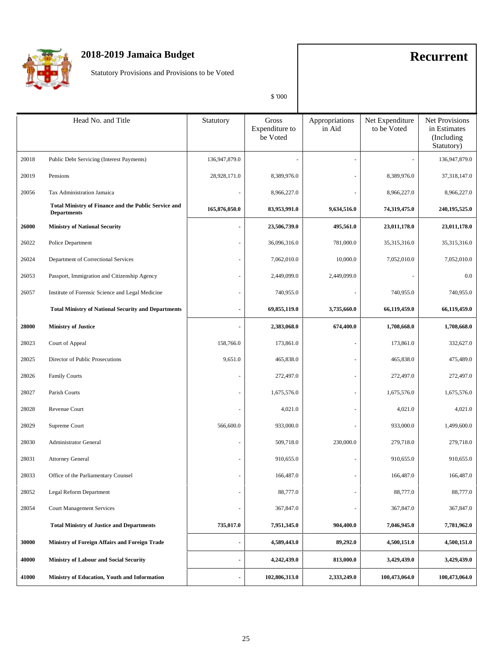

Statutory Provisions and Provisions to be Voted

|       | Head No. and Title                                                                | Statutory      | Gross<br>Expenditure to<br>be Voted | Appropriations<br>in Aid | Net Expenditure<br>to be Voted | <b>Net Provisions</b><br>in Estimates<br>(Including<br>Statutory) |
|-------|-----------------------------------------------------------------------------------|----------------|-------------------------------------|--------------------------|--------------------------------|-------------------------------------------------------------------|
| 20018 | Public Debt Servicing (Interest Payments)                                         | 136,947,879.0  |                                     |                          |                                | 136,947,879.0                                                     |
| 20019 | Pensions                                                                          | 28,928,171.0   | 8,389,976.0                         |                          | 8,389,976.0                    | 37,318,147.0                                                      |
| 20056 | Tax Administration Jamaica                                                        |                | 8,966,227.0                         |                          | 8,966,227.0                    | 8,966,227.0                                                       |
|       | <b>Total Ministry of Finance and the Public Service and</b><br><b>Departments</b> | 165,876,050.0  | 83,953,991.0                        | 9,634,516.0              | 74,319,475.0                   | 240, 195, 525.0                                                   |
| 26000 | <b>Ministry of National Security</b>                                              |                | 23,506,739.0                        | 495,561.0                | 23,011,178.0                   | 23,011,178.0                                                      |
| 26022 | Police Department                                                                 | ٠              | 36,096,316.0                        | 781,000.0                | 35,315,316.0                   | 35,315,316.0                                                      |
| 26024 | Department of Correctional Services                                               | $\sim$         | 7,062,010.0                         | 10,000.0                 | 7,052,010.0                    | 7,052,010.0                                                       |
| 26053 | Passport, Immigration and Citizenship Agency                                      |                | 2,449,099.0                         | 2,449,099.0              |                                | 0.0                                                               |
| 26057 | Institute of Forensic Science and Legal Medicine                                  |                | 740,955.0                           |                          | 740,955.0                      | 740,955.0                                                         |
|       | <b>Total Ministry of National Security and Departments</b>                        | $\blacksquare$ | 69,855,119.0                        | 3,735,660.0              | 66,119,459.0                   | 66,119,459.0                                                      |
| 28000 | <b>Ministry of Justice</b>                                                        |                | 2,383,068.0                         | 674,400.0                | 1,708,668.0                    | 1,708,668.0                                                       |
| 28023 | Court of Appeal                                                                   | 158,766.0      | 173,861.0                           |                          | 173,861.0                      | 332,627.0                                                         |
| 28025 | Director of Public Prosecutions                                                   | 9,651.0        | 465,838.0                           |                          | 465,838.0                      | 475,489.0                                                         |
| 28026 | <b>Family Courts</b>                                                              |                | 272,497.0                           |                          | 272,497.0                      | 272,497.0                                                         |
| 28027 | Parish Courts                                                                     |                | 1,675,576.0                         |                          | 1,675,576.0                    | 1,675,576.0                                                       |
| 28028 | Revenue Court                                                                     |                | 4,021.0                             |                          | 4,021.0                        | 4,021.0                                                           |
| 28029 | Supreme Court                                                                     | 566,600.0      | 933,000.0                           |                          | 933,000.0                      | 1,499,600.0                                                       |
| 28030 | <b>Administrator General</b>                                                      |                | 509,718.0                           | 230,000.0                | 279,718.0                      | 279,718.0                                                         |
| 28031 | <b>Attorney General</b>                                                           |                | 910,655.0                           |                          | 910,655.0                      | 910,655.0                                                         |
| 28033 | Office of the Parliamentary Counsel                                               |                | 166,487.0                           |                          | 166,487.0                      | 166,487.0                                                         |
| 28052 | Legal Reform Department                                                           |                | 88,777.0                            |                          | 88,777.0                       | 88,777.0                                                          |
| 28054 | <b>Court Management Services</b>                                                  |                | 367,847.0                           |                          | 367,847.0                      | 367,847.0                                                         |
|       | <b>Total Ministry of Justice and Departments</b>                                  | 735,017.0      | 7,951,345.0                         | 904,400.0                | 7,046,945.0                    | 7,781,962.0                                                       |
| 30000 | Ministry of Foreign Affairs and Foreign Trade                                     | $\blacksquare$ | 4,589,443.0                         | 89,292.0                 | 4,500,151.0                    | 4,500,151.0                                                       |
| 40000 | Ministry of Labour and Social Security                                            | $\blacksquare$ | 4,242,439.0                         | 813,000.0                | 3,429,439.0                    | 3,429,439.0                                                       |
| 41000 | Ministry of Education, Youth and Information                                      | $\blacksquare$ | 102,806,313.0                       | 2,333,249.0              | 100,473,064.0                  | 100,473,064.0                                                     |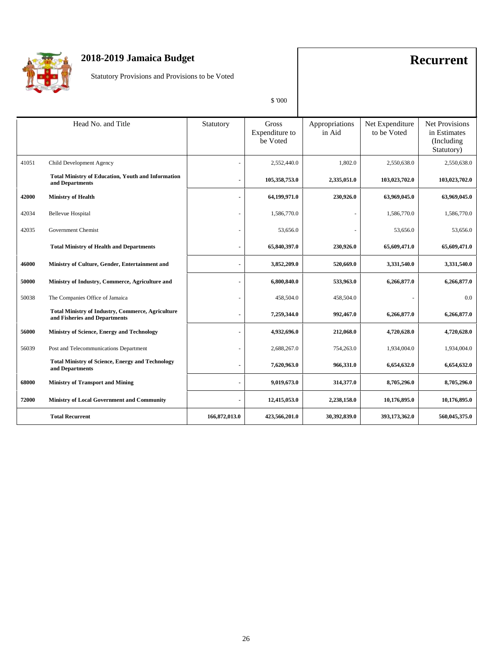

Statutory Provisions and Provisions to be Voted

|                        | Head No. and Title                                                                        | Statutory                | Gross<br>Expenditure to<br>be Voted | Appropriations<br>in Aid | Net Expenditure<br>to be Voted | <b>Net Provisions</b><br>in Estimates<br>(Including)<br>Statutory) |
|------------------------|-------------------------------------------------------------------------------------------|--------------------------|-------------------------------------|--------------------------|--------------------------------|--------------------------------------------------------------------|
| 41051                  | Child Development Agency                                                                  |                          | 2,552,440.0                         | 1,802.0                  | 2,550,638.0                    | 2,550,638.0                                                        |
|                        | <b>Total Ministry of Education, Youth and Information</b><br>and Departments              | $\blacksquare$           | 105,358,753.0                       | 2,335,051.0              | 103,023,702.0                  | 103,023,702.0                                                      |
| 42000                  | <b>Ministry of Health</b>                                                                 | $\blacksquare$           | 64,199,971.0                        | 230,926.0                | 63,969,045.0                   | 63,969,045.0                                                       |
| 42034                  | <b>Bellevue Hospital</b>                                                                  | $\overline{\phantom{a}}$ | 1,586,770.0                         |                          | 1,586,770.0                    | 1,586,770.0                                                        |
| 42035                  | <b>Government Chemist</b>                                                                 |                          | 53,656.0                            |                          | 53,656.0                       | 53,656.0                                                           |
|                        | <b>Total Ministry of Health and Departments</b>                                           | $\blacksquare$           | 65,840,397.0                        | 230,926.0                | 65,609,471.0                   | 65,609,471.0                                                       |
| 46000                  | Ministry of Culture, Gender, Entertainment and                                            | $\blacksquare$           | 3,852,209.0                         | 520,669.0                | 3,331,540.0                    | 3,331,540.0                                                        |
| 50000                  | Ministry of Industry, Commerce, Agriculture and                                           |                          | 6,800,840.0                         | 533,963.0                | 6,266,877.0                    | 6,266,877.0                                                        |
| 50038                  | The Companies Office of Jamaica                                                           |                          | 458,504.0                           | 458,504.0                |                                | 0.0                                                                |
|                        | <b>Total Ministry of Industry, Commerce, Agriculture</b><br>and Fisheries and Departments | $\blacksquare$           | 7,259,344.0                         | 992,467.0                | 6,266,877.0                    | 6,266,877.0                                                        |
| 56000                  | Ministry of Science, Energy and Technology                                                |                          | 4,932,696.0                         | 212,068.0                | 4,720,628.0                    | 4,720,628.0                                                        |
| 56039                  | Post and Telecommunications Department                                                    |                          | 2,688,267.0                         | 754,263.0                | 1,934,004.0                    | 1,934,004.0                                                        |
|                        | <b>Total Ministry of Science, Energy and Technology</b><br>and Departments                |                          | 7,620,963.0                         | 966,331.0                | 6,654,632.0                    | 6,654,632.0                                                        |
| 68000                  | <b>Ministry of Transport and Mining</b>                                                   | $\blacksquare$           | 9,019,673.0                         | 314,377.0                | 8,705,296.0                    | 8,705,296.0                                                        |
| 72000                  | Ministry of Local Government and Community                                                | $\blacksquare$           | 12,415,053.0                        | 2,238,158.0              | 10,176,895.0                   | 10,176,895.0                                                       |
| <b>Total Recurrent</b> |                                                                                           | 166,872,013.0            | 423,566,201.0                       | 30,392,839.0             | 393,173,362.0                  | 560,045,375.0                                                      |